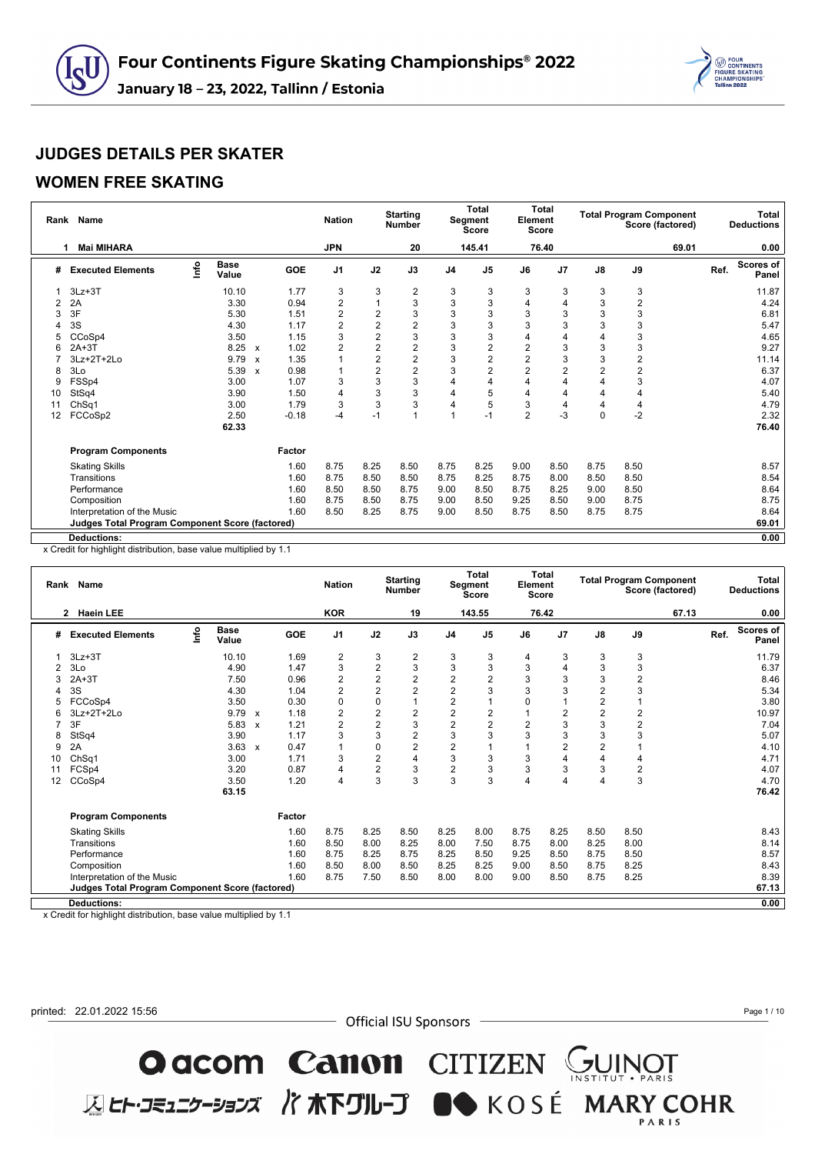

#### **WOMEN FREE SKATING**

| Rank | Name                                                   |      |                      |                           |         | <b>Nation</b>  |                | <b>Starting</b><br><b>Number</b> |                | <b>Total</b><br>Segment<br>Score | Element        | <b>Total</b><br>Score |             |                | <b>Total Program Component</b><br>Score (factored) |      | Total<br><b>Deductions</b> |
|------|--------------------------------------------------------|------|----------------------|---------------------------|---------|----------------|----------------|----------------------------------|----------------|----------------------------------|----------------|-----------------------|-------------|----------------|----------------------------------------------------|------|----------------------------|
| 1    | <b>Mai MIHARA</b>                                      |      |                      |                           |         | <b>JPN</b>     |                | 20                               |                | 145.41                           |                | 76.40                 |             |                | 69.01                                              |      | 0.00                       |
| #    | <b>Executed Elements</b>                               | lnfo | <b>Base</b><br>Value |                           | GOE     | J <sub>1</sub> | J2             | J3                               | J <sub>4</sub> | J <sub>5</sub>                   | J6             | J <sub>7</sub>        | J8          | J9             |                                                    | Ref. | Scores of<br>Panel         |
|      | $3Lz + 3T$                                             |      | 10.10                |                           | 1.77    | 3              | 3              | 2                                | 3              | 3                                | 3              | 3                     | 3           | 3              |                                                    |      | 11.87                      |
| 2    | 2A                                                     |      | 3.30                 |                           | 0.94    | 2              | 1              | 3                                | 3              | 3                                | 4              |                       | 3           | $\overline{2}$ |                                                    |      | 4.24                       |
| 3    | 3F                                                     |      | 5.30                 |                           | 1.51    | 2              | $\overline{2}$ | 3                                | 3              | 3                                | 3              | 3                     | 3           | 3              |                                                    |      | 6.81                       |
|      | 3S                                                     |      | 4.30                 |                           | 1.17    | $\overline{2}$ | $\overline{2}$ | $\overline{2}$                   | 3              | 3                                | 3              | 3                     | 3           | 3              |                                                    |      | 5.47                       |
| 5    | CCoSp4                                                 |      | 3.50                 |                           | 1.15    | 3              | $\overline{2}$ | 3                                | 3              | 3                                |                |                       | 4           | 3              |                                                    |      | 4.65                       |
| 6    | $2A+3T$                                                |      | 8.25                 | $\boldsymbol{\mathsf{x}}$ | 1.02    | $\overline{2}$ | $\overline{2}$ | $\overline{c}$                   | 3              | $\overline{2}$                   | $\overline{2}$ | 3                     | 3           | 3              |                                                    |      | 9.27                       |
|      | 3Lz+2T+2Lo                                             |      | 9.79                 | $\mathbf{x}$              | 1.35    |                | $\overline{2}$ | $\overline{c}$                   | 3              | 2                                | $\overline{2}$ | 3                     | 3           | 2              |                                                    |      | 11.14                      |
| 8    | 3Lo                                                    |      | 5.39                 | $\boldsymbol{\mathsf{x}}$ | 0.98    | 1              | $\overline{2}$ | 2                                | 3              | $\overline{2}$                   | $\overline{2}$ | 2                     | 2           | 2              |                                                    |      | 6.37                       |
| 9    | FSSp4                                                  |      | 3.00                 |                           | 1.07    | 3              | 3              | 3                                | 4              |                                  |                |                       | 4           | 3              |                                                    |      | 4.07                       |
| 10   | StSq4                                                  |      | 3.90                 |                           | 1.50    | 4              | 3              | 3                                | 4              | 5                                |                |                       | 4           | 4              |                                                    |      | 5.40                       |
| 11   | Ch <sub>Sq1</sub>                                      |      | 3.00                 |                           | 1.79    | 3              | 3              | 3                                | 4              | 5                                | 3              |                       | 4           | 4              |                                                    |      | 4.79                       |
| 12   | FCCoSp2                                                |      | 2.50                 |                           | $-0.18$ | $-4$           | $-1$           |                                  |                | $-1$                             | $\overline{2}$ | $-3$                  | $\mathbf 0$ | $-2$           |                                                    |      | 2.32                       |
|      |                                                        |      | 62.33                |                           |         |                |                |                                  |                |                                  |                |                       |             |                |                                                    |      | 76.40                      |
|      | <b>Program Components</b>                              |      |                      |                           | Factor  |                |                |                                  |                |                                  |                |                       |             |                |                                                    |      |                            |
|      | <b>Skating Skills</b>                                  |      |                      |                           | 1.60    | 8.75           | 8.25           | 8.50                             | 8.75           | 8.25                             | 9.00           | 8.50                  | 8.75        | 8.50           |                                                    |      | 8.57                       |
|      | Transitions                                            |      |                      |                           | 1.60    | 8.75           | 8.50           | 8.50                             | 8.75           | 8.25                             | 8.75           | 8.00                  | 8.50        | 8.50           |                                                    |      | 8.54                       |
|      | Performance                                            |      |                      |                           | 1.60    | 8.50           | 8.50           | 8.75                             | 9.00           | 8.50                             | 8.75           | 8.25                  | 9.00        | 8.50           |                                                    |      | 8.64                       |
|      | Composition                                            |      |                      |                           | 1.60    | 8.75           | 8.50           | 8.75                             | 9.00           | 8.50                             | 9.25           | 8.50                  | 9.00        | 8.75           |                                                    |      | 8.75                       |
|      | Interpretation of the Music                            |      |                      |                           | 1.60    | 8.50           | 8.25           | 8.75                             | 9.00           | 8.50                             | 8.75           | 8.50                  | 8.75        | 8.75           |                                                    |      | 8.64                       |
|      | <b>Judges Total Program Component Score (factored)</b> |      |                      |                           |         |                |                |                                  |                |                                  |                |                       |             |                |                                                    |      | 69.01                      |
|      | <b>Deductions:</b>                                     |      |                      |                           |         |                |                |                                  |                |                                  |                |                       |             |                |                                                    |      | 0.00                       |

x Credit for highlight distribution, base value multiplied by 1.1

|    | Rank Name                                       |      |                      |                           |            | <b>Nation</b>           |                         | <b>Starting</b><br><b>Number</b> |                         | <b>Total</b><br>Segment<br><b>Score</b> | Element  | Total<br>Score |                |      | <b>Total Program Component</b><br>Score (factored) |      | Total<br><b>Deductions</b> |
|----|-------------------------------------------------|------|----------------------|---------------------------|------------|-------------------------|-------------------------|----------------------------------|-------------------------|-----------------------------------------|----------|----------------|----------------|------|----------------------------------------------------|------|----------------------------|
|    | <b>Haein LEE</b><br>2                           |      |                      |                           |            | <b>KOR</b>              |                         | 19                               |                         | 143.55                                  |          | 76.42          |                |      | 67.13                                              |      | 0.00                       |
| #  | <b>Executed Elements</b>                        | Info | <b>Base</b><br>Value |                           | <b>GOE</b> | J <sub>1</sub>          | J2                      | J3                               | J <sub>4</sub>          | J <sub>5</sub>                          | J6       | J7             | J8             | J9   |                                                    | Ref. | Scores of<br>Panel         |
|    | $3Lz + 3T$                                      |      | 10.10                |                           | 1.69       | 2                       | 3                       | 2                                | 3                       | 3                                       | 4        | 3              | 3              | 3    |                                                    |      | 11.79                      |
| 2  | 3Lo                                             |      | 4.90                 |                           | 1.47       | 3                       | $\overline{\mathbf{c}}$ | 3                                | 3                       | 3                                       | 3        | 4              | 3              | 3    |                                                    |      | 6.37                       |
|    | $2A+3T$                                         |      | 7.50                 |                           | 0.96       | $\overline{2}$          | $\overline{2}$          | $\overline{2}$                   | 2                       | 2                                       | 3        | 3              | 3              | 2    |                                                    |      | 8.46                       |
|    | 3S                                              |      | 4.30                 |                           | 1.04       | $\overline{2}$          | $\overline{2}$          | $\overline{2}$                   | $\overline{c}$          | 3                                       | 3        | 3              | $\mathbf 2$    | 3    |                                                    |      | 5.34                       |
|    | FCCoSp4                                         |      | 3.50                 |                           | 0.30       | $\mathbf 0$             | $\mathbf 0$             | 1                                | 2                       |                                         | $\Omega$ |                | $\overline{2}$ |      |                                                    |      | 3.80                       |
| 6  | 3Lz+2T+2Lo                                      |      | 9.79                 | $\boldsymbol{\mathsf{x}}$ | 1.18       | $\overline{\mathbf{c}}$ | 2                       | 2                                | $\overline{\mathbf{c}}$ | 2                                       |          | 2              | $\mathbf 2$    | 2    |                                                    |      | 10.97                      |
| 7  | 3F                                              |      | 5.83                 | $\mathsf{x}$              | 1.21       | $\overline{2}$          | 2                       | 3                                | 2                       | 2                                       | 2        | 3              | 3              | 2    |                                                    |      | 7.04                       |
| 8  | StSq4                                           |      | 3.90                 |                           | 1.17       | 3                       | 3                       | $\overline{2}$                   | 3                       | 3                                       | 3        | 3              | 3              | 3    |                                                    |      | 5.07                       |
| 9  | 2A                                              |      | 3.63                 | $\boldsymbol{\mathsf{x}}$ | 0.47       |                         | $\mathbf 0$             | $\overline{2}$                   | 2                       |                                         |          | 2              | $\overline{2}$ |      |                                                    |      | 4.10                       |
| 10 | Ch <sub>Sq1</sub>                               |      | 3.00                 |                           | 1.71       | 3                       | 2                       | 4                                | 3                       | 3                                       | 3        | 4              | $\overline{4}$ | 4    |                                                    |      | 4.71                       |
| 11 | FCSp4                                           |      | 3.20                 |                           | 0.87       | 4                       | 2                       | 3                                | $\overline{2}$          | 3                                       | 3        | 3              | 3              | 2    |                                                    |      | 4.07                       |
| 12 | CCoSp4                                          |      | 3.50                 |                           | 1.20       | $\overline{4}$          | 3                       | 3                                | 3                       | 3                                       | 4        | 4              | $\overline{4}$ | 3    |                                                    |      | 4.70                       |
|    |                                                 |      | 63.15                |                           |            |                         |                         |                                  |                         |                                         |          |                |                |      |                                                    |      | 76.42                      |
|    | <b>Program Components</b>                       |      |                      |                           | Factor     |                         |                         |                                  |                         |                                         |          |                |                |      |                                                    |      |                            |
|    | <b>Skating Skills</b>                           |      |                      |                           | 1.60       | 8.75                    | 8.25                    | 8.50                             | 8.25                    | 8.00                                    | 8.75     | 8.25           | 8.50           | 8.50 |                                                    |      | 8.43                       |
|    | Transitions                                     |      |                      |                           | 1.60       | 8.50                    | 8.00                    | 8.25                             | 8.00                    | 7.50                                    | 8.75     | 8.00           | 8.25           | 8.00 |                                                    |      | 8.14                       |
|    | Performance                                     |      |                      |                           | 1.60       | 8.75                    | 8.25                    | 8.75                             | 8.25                    | 8.50                                    | 9.25     | 8.50           | 8.75           | 8.50 |                                                    |      | 8.57                       |
|    | Composition                                     |      |                      |                           | 1.60       | 8.50                    | 8.00                    | 8.50                             | 8.25                    | 8.25                                    | 9.00     | 8.50           | 8.75           | 8.25 |                                                    |      | 8.43                       |
|    | Interpretation of the Music                     |      |                      |                           | 1.60       | 8.75                    | 7.50                    | 8.50                             | 8.00                    | 8.00                                    | 9.00     | 8.50           | 8.75           | 8.25 |                                                    |      | 8.39                       |
|    | Judges Total Program Component Score (factored) |      |                      |                           |            |                         |                         |                                  |                         |                                         |          |                |                |      |                                                    |      | 67.13                      |
|    | <b>Deductions:</b>                              |      |                      |                           |            |                         |                         |                                  |                         |                                         |          |                |                |      |                                                    |      | 0.00                       |

x Credit for highlight distribution, base value multiplied by 1.1

printed: 22.01.2022 15:56

- Official ISU Sponsors -

**O acom Canon** CITIZEN GUINOT<br>ELET-JE150-317 / TRETUL-J ON KOSÉ MARY COHR

Page 1 / 10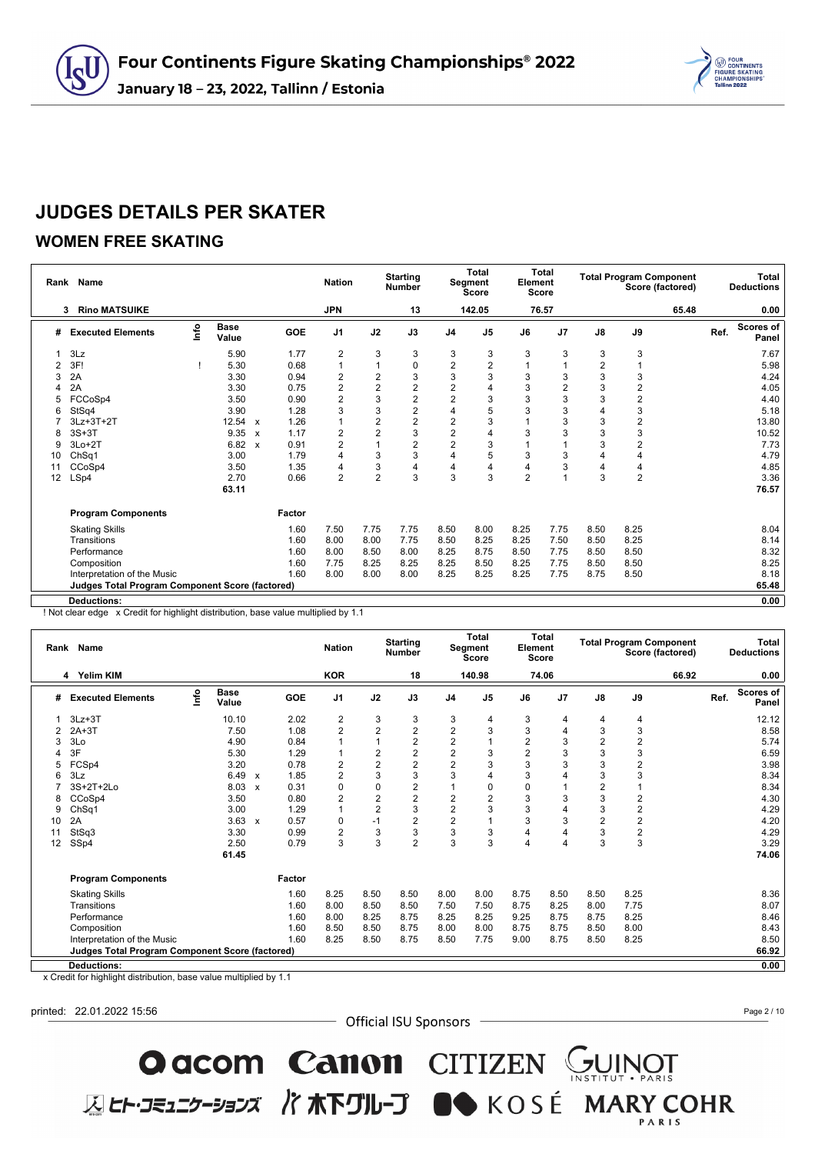

### **WOMEN FREE SKATING**

| Rank | Name                                                   |      |                      |              |        | <b>Nation</b>  |                | <b>Starting</b><br><b>Number</b> |                | <b>Total</b><br>Segment<br><b>Score</b> | Element        | <b>Total</b><br><b>Score</b> |                |                | <b>Total Program Component</b><br>Score (factored) |      | <b>Total</b><br><b>Deductions</b> |
|------|--------------------------------------------------------|------|----------------------|--------------|--------|----------------|----------------|----------------------------------|----------------|-----------------------------------------|----------------|------------------------------|----------------|----------------|----------------------------------------------------|------|-----------------------------------|
|      | <b>Rino MATSUIKE</b><br>3                              |      |                      |              |        | <b>JPN</b>     |                | 13                               |                | 142.05                                  |                | 76.57                        |                |                | 65.48                                              |      | 0.00                              |
| #    | <b>Executed Elements</b>                               | lnfo | <b>Base</b><br>Value |              | GOE    | J <sub>1</sub> | J2             | J3                               | J <sub>4</sub> | J <sub>5</sub>                          | J6             | J <sub>7</sub>               | $\mathsf{J}8$  | J9             |                                                    | Ref. | <b>Scores of</b><br>Panel         |
|      | 3Lz                                                    |      | 5.90                 |              | 1.77   | $\overline{2}$ | 3              | 3                                | 3              | 3                                       | 3              | 3                            | 3              | 3              |                                                    |      | 7.67                              |
| 2    | 3F!                                                    |      | 5.30                 |              | 0.68   | $\mathbf{1}$   |                | 0                                | $\overline{2}$ | $\overline{2}$                          |                |                              | $\overline{2}$ |                |                                                    |      | 5.98                              |
| 3    | 2A                                                     |      | 3.30                 |              | 0.94   | $\overline{2}$ | $\overline{2}$ | 3                                | 3              | 3                                       | 3              | 3                            | 3              | 3              |                                                    |      | 4.24                              |
| 4    | 2A                                                     |      | 3.30                 |              | 0.75   | $\overline{2}$ | $\overline{2}$ | $\overline{2}$                   | $\overline{2}$ | 4                                       | 3              | $\overline{2}$               | 3              | $\overline{2}$ |                                                    |      | 4.05                              |
| 5    | FCCoSp4                                                |      | 3.50                 |              | 0.90   | $\overline{2}$ | 3              | $\overline{2}$                   | $\overline{c}$ | 3                                       | 3              | 3                            | 3              | $\overline{2}$ |                                                    |      | 4.40                              |
| 6    | StSq4                                                  |      | 3.90                 |              | 1.28   | 3              | 3              | $\overline{2}$                   | 4              | 5                                       | 3              | 3                            | $\overline{4}$ | 3              |                                                    |      | 5.18                              |
|      | 3Lz+3T+2T                                              |      | 12.54                | $\mathbf{x}$ | 1.26   | $\mathbf{1}$   | $\overline{2}$ | $\overline{2}$                   | $\overline{2}$ | 3                                       |                | 3                            | 3              | 2              |                                                    |      | 13.80                             |
| 8    | $3S+3T$                                                |      | 9.35                 | $\mathbf{x}$ | 1.17   | 2              | $\overline{2}$ | 3                                | $\overline{2}$ | 4                                       | 3              | 3                            | 3              | 3              |                                                    |      | 10.52                             |
| 9    | $3Lo+2T$                                               |      | 6.82                 | $\mathbf{x}$ | 0.91   | $\overline{2}$ |                | $\overline{2}$                   | $\overline{2}$ | 3                                       |                |                              | 3              | 2              |                                                    |      | 7.73                              |
| 10   | Ch <sub>Sq1</sub>                                      |      | 3.00                 |              | 1.79   | $\overline{4}$ | 3              | 3                                | 4              | 5                                       | 3              | 3                            | $\overline{4}$ | $\overline{4}$ |                                                    |      | 4.79                              |
| 11   | CCoSp4                                                 |      | 3.50                 |              | 1.35   | 4              | 3              | $\overline{4}$                   | 4              | 4                                       |                | 3                            | 4              | 4              |                                                    |      | 4.85                              |
| 12   | LSp4                                                   |      | 2.70                 |              | 0.66   | $\overline{2}$ | $\overline{2}$ | 3                                | 3              | 3                                       | $\overline{2}$ |                              | 3              | $\overline{2}$ |                                                    |      | 3.36                              |
|      |                                                        |      | 63.11                |              |        |                |                |                                  |                |                                         |                |                              |                |                |                                                    |      | 76.57                             |
|      | <b>Program Components</b>                              |      |                      |              | Factor |                |                |                                  |                |                                         |                |                              |                |                |                                                    |      |                                   |
|      | <b>Skating Skills</b>                                  |      |                      |              | 1.60   | 7.50           | 7.75           | 7.75                             | 8.50           | 8.00                                    | 8.25           | 7.75                         | 8.50           | 8.25           |                                                    |      | 8.04                              |
|      | Transitions                                            |      |                      |              | 1.60   | 8.00           | 8.00           | 7.75                             | 8.50           | 8.25                                    | 8.25           | 7.50                         | 8.50           | 8.25           |                                                    |      | 8.14                              |
|      | Performance                                            |      |                      |              | 1.60   | 8.00           | 8.50           | 8.00                             | 8.25           | 8.75                                    | 8.50           | 7.75                         | 8.50           | 8.50           |                                                    |      | 8.32                              |
|      | Composition                                            |      |                      |              | 1.60   | 7.75           | 8.25           | 8.25                             | 8.25           | 8.50                                    | 8.25           | 7.75                         | 8.50           | 8.50           |                                                    |      | 8.25                              |
|      | Interpretation of the Music                            |      |                      |              | 1.60   | 8.00           | 8.00           | 8.00                             | 8.25           | 8.25                                    | 8.25           | 7.75                         | 8.75           | 8.50           |                                                    |      | 8.18                              |
|      | <b>Judges Total Program Component Score (factored)</b> |      |                      |              |        |                |                |                                  |                |                                         |                |                              |                |                |                                                    |      | 65.48                             |
|      | <b>Deductions:</b>                                     |      |                      |              |        |                |                |                                  |                |                                         |                |                              |                |                |                                                    |      | 0.00                              |

! Not clear edge x Credit for highlight distribution, base value multiplied by 1.1

|    | Rank Name                                              |      |                      |                           |            | <b>Nation</b>  |                | <b>Starting</b><br><b>Number</b> |                         | <b>Total</b><br><b>Segment</b><br><b>Score</b> | Element        | Total<br>Score |                |                         | <b>Total Program Component</b><br>Score (factored) |      | <b>Total</b><br><b>Deductions</b> |
|----|--------------------------------------------------------|------|----------------------|---------------------------|------------|----------------|----------------|----------------------------------|-------------------------|------------------------------------------------|----------------|----------------|----------------|-------------------------|----------------------------------------------------|------|-----------------------------------|
|    | 4 Yelim KIM                                            |      |                      |                           |            | <b>KOR</b>     |                | 18                               |                         | 140.98                                         |                | 74.06          |                |                         | 66.92                                              |      | 0.00                              |
| #  | <b>Executed Elements</b>                               | lnfo | <b>Base</b><br>Value |                           | <b>GOE</b> | J <sub>1</sub> | J2             | J3                               | J <sub>4</sub>          | J <sub>5</sub>                                 | J6             | J <sub>7</sub> | J8             | J9                      |                                                    | Ref. | Scores of<br>Panel                |
|    | $3Lz + 3T$                                             |      | 10.10                |                           | 2.02       | $\overline{2}$ | 3              | 3                                | 3                       | 4                                              | 3              | 4              | 4              | 4                       |                                                    |      | 12.12                             |
| 2  | $2A+3T$                                                |      | 7.50                 |                           | 1.08       | $\overline{2}$ | $\overline{2}$ | $\overline{2}$                   | $\overline{c}$          | 3                                              | 3              |                | 3              | 3                       |                                                    |      | 8.58                              |
|    | 3Lo                                                    |      | 4.90                 |                           | 0.84       |                |                | $\overline{2}$                   | $\overline{\mathbf{c}}$ |                                                | $\overline{2}$ | 3              | $\overline{2}$ | $\boldsymbol{2}$        |                                                    |      | 5.74                              |
|    | 3F                                                     |      | 5.30                 |                           | 1.29       |                | 2              | $\overline{c}$                   | $\overline{\mathbf{c}}$ | 3                                              | $\overline{2}$ | 3              | 3              | 3                       |                                                    |      | 6.59                              |
| 5  | FCSp4                                                  |      | 3.20                 |                           | 0.78       | $\overline{2}$ | $\overline{c}$ | $\overline{2}$                   | $\overline{2}$          | 3                                              | 3              | 3              | 3              | $\overline{2}$          |                                                    |      | 3.98                              |
| 6  | 3Lz                                                    |      | 6.49                 | $\boldsymbol{\mathsf{x}}$ | 1.85       | $\overline{2}$ | 3              | 3                                | 3                       |                                                | 3              |                | 3              | 3                       |                                                    |      | 8.34                              |
|    | 3S+2T+2Lo                                              |      | 8.03                 | $\boldsymbol{\mathsf{x}}$ | 0.31       | 0              | 0              | $\overline{2}$                   | 1                       | 0                                              | $\mathbf 0$    |                | 2              |                         |                                                    |      | 8.34                              |
| 8  | CCoSp4                                                 |      | 3.50                 |                           | 0.80       | $\overline{2}$ | $\overline{2}$ | $\overline{2}$                   | 2                       | $\overline{2}$                                 | 3              | 3              | 3              | $\overline{2}$          |                                                    |      | 4.30                              |
| 9  | ChSq1                                                  |      | 3.00                 |                           | 1.29       | $\overline{1}$ | $\overline{2}$ | 3                                | $\overline{c}$          | 3                                              | 3              |                | 3              | $\overline{c}$          |                                                    |      | 4.29                              |
| 10 | 2A                                                     |      | $3.63 \times$        |                           | 0.57       | 0              | $-1$           | $\overline{2}$                   | $\overline{2}$          |                                                | 3              | 3              | $\overline{2}$ | $\overline{2}$          |                                                    |      | 4.20                              |
| 11 | StSq3                                                  |      | 3.30                 |                           | 0.99       | $\overline{2}$ | 3              | 3                                | 3                       | 3                                              | 4              |                | 3              | $\overline{\mathbf{c}}$ |                                                    |      | 4.29                              |
| 12 | SSp4                                                   |      | 2.50                 |                           | 0.79       | 3              | 3              | $\overline{2}$                   | 3                       | 3                                              | $\overline{4}$ | 4              | 3              | 3                       |                                                    |      | 3.29                              |
|    |                                                        |      | 61.45                |                           |            |                |                |                                  |                         |                                                |                |                |                |                         |                                                    |      | 74.06                             |
|    | <b>Program Components</b>                              |      |                      |                           | Factor     |                |                |                                  |                         |                                                |                |                |                |                         |                                                    |      |                                   |
|    | <b>Skating Skills</b>                                  |      |                      |                           | 1.60       | 8.25           | 8.50           | 8.50                             | 8.00                    | 8.00                                           | 8.75           | 8.50           | 8.50           | 8.25                    |                                                    |      | 8.36                              |
|    | Transitions                                            |      |                      |                           | 1.60       | 8.00           | 8.50           | 8.50                             | 7.50                    | 7.50                                           | 8.75           | 8.25           | 8.00           | 7.75                    |                                                    |      | 8.07                              |
|    | Performance                                            |      |                      |                           | 1.60       | 8.00           | 8.25           | 8.75                             | 8.25                    | 8.25                                           | 9.25           | 8.75           | 8.75           | 8.25                    |                                                    |      | 8.46                              |
|    | Composition                                            |      |                      |                           | 1.60       | 8.50           | 8.50           | 8.75                             | 8.00                    | 8.00                                           | 8.75           | 8.75           | 8.50           | 8.00                    |                                                    |      | 8.43                              |
|    | Interpretation of the Music                            |      |                      |                           | 1.60       | 8.25           | 8.50           | 8.75                             | 8.50                    | 7.75                                           | 9.00           | 8.75           | 8.50           | 8.25                    |                                                    |      | 8.50                              |
|    | <b>Judges Total Program Component Score (factored)</b> |      |                      |                           |            |                |                |                                  |                         |                                                |                |                |                |                         |                                                    |      | 66.92                             |
|    | <b>Deductions:</b>                                     |      |                      |                           |            |                |                |                                  |                         |                                                |                |                |                |                         |                                                    |      | 0.00                              |

x Credit for highlight distribution, base value multiplied by 1.1

printed: 22.01.2022 15:56

- Official ISU Sponsors -

**O acom Canon** CITIZEN GUINOT<br>ELET-JE117-337 / TRETUL-J ON KOSÉ MARY COHR

Page 2 / 10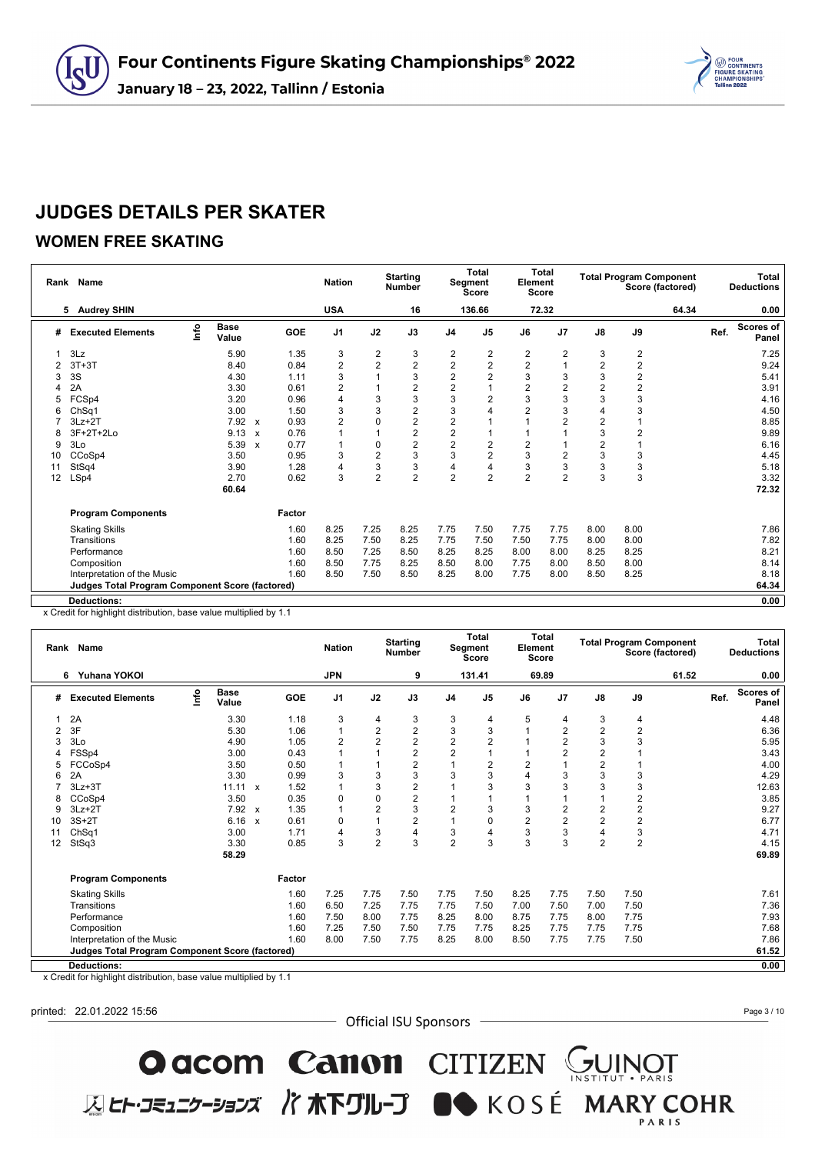

### **WOMEN FREE SKATING**

| Rank | Name                                                   |      |                      |              |        | <b>Nation</b>  |                | <b>Starting</b><br><b>Number</b> |                | <b>Total</b><br>Segment<br><b>Score</b> | Element        | <b>Total</b><br><b>Score</b> |                |                | <b>Total Program Component</b><br>Score (factored) |      | <b>Total</b><br><b>Deductions</b> |
|------|--------------------------------------------------------|------|----------------------|--------------|--------|----------------|----------------|----------------------------------|----------------|-----------------------------------------|----------------|------------------------------|----------------|----------------|----------------------------------------------------|------|-----------------------------------|
|      | 5 Audrey SHIN                                          |      |                      |              |        | <b>USA</b>     |                | 16                               |                | 136.66                                  |                | 72.32                        |                |                | 64.34                                              |      | 0.00                              |
| #    | <b>Executed Elements</b>                               | lnfo | <b>Base</b><br>Value |              | GOE    | J <sub>1</sub> | J2             | J3                               | J <sub>4</sub> | J <sub>5</sub>                          | J6             | J <sub>7</sub>               | $\mathsf{J}8$  | J9             |                                                    | Ref. | <b>Scores of</b><br>Panel         |
|      | 3Lz                                                    |      | 5.90                 |              | 1.35   | 3              | $\overline{2}$ | 3                                | 2              | $\overline{2}$                          | 2              | 2                            | 3              | $\overline{2}$ |                                                    |      | 7.25                              |
| 2    | $3T+3T$                                                |      | 8.40                 |              | 0.84   | $\overline{2}$ | $\overline{2}$ | $\overline{2}$                   | $\overline{c}$ | $\overline{2}$                          | $\overline{2}$ |                              | $\overline{2}$ | $\overline{2}$ |                                                    |      | 9.24                              |
| 3    | 3S                                                     |      | 4.30                 |              | 1.11   | 3              |                | 3                                | $\overline{c}$ | $\overline{2}$                          | 3              | 3                            | 3              | 2              |                                                    |      | 5.41                              |
| 4    | 2A                                                     |      | 3.30                 |              | 0.61   | $\overline{2}$ |                | $\overline{2}$                   | $\overline{2}$ |                                         | $\overline{2}$ | $\overline{2}$               | $\overline{2}$ | $\overline{2}$ |                                                    |      | 3.91                              |
| 5    | FCSp4                                                  |      | 3.20                 |              | 0.96   | $\overline{4}$ | 3              | 3                                | 3              | $\overline{2}$                          | 3              | 3                            | 3              | 3              |                                                    |      | 4.16                              |
| 6    | Ch <sub>Sq1</sub>                                      |      | 3.00                 |              | 1.50   | 3              | 3              | $\overline{2}$                   | 3              | 4                                       | $\overline{2}$ | 3                            | $\overline{4}$ | 3              |                                                    |      | 4.50                              |
|      | $3Lz + 2T$                                             |      | 7.92                 | $\mathbf{x}$ | 0.93   | $\overline{2}$ |                | $\overline{2}$                   | $\overline{2}$ |                                         |                | $\overline{2}$               | $\overline{2}$ |                |                                                    |      | 8.85                              |
| 8    | 3F+2T+2Lo                                              |      | 9.13                 | $\mathbf{x}$ | 0.76   | 1              |                | $\overline{2}$                   | 2              |                                         |                |                              | 3              | $\overline{2}$ |                                                    |      | 9.89                              |
| 9    | 3Lo                                                    |      | 5.39                 | $\mathbf{x}$ | 0.77   | 1              | $\Omega$       | $\overline{2}$                   | $\overline{c}$ | $\overline{2}$                          | $\overline{2}$ |                              | $\overline{c}$ |                |                                                    |      | 6.16                              |
| 10   | CCoSp4                                                 |      | 3.50                 |              | 0.95   | 3              | $\overline{2}$ | 3                                | 3              | $\overline{2}$                          | 3              | 2                            | 3              | 3              |                                                    |      | 4.45                              |
| 11   | StSq4                                                  |      | 3.90                 |              | 1.28   | 4              | 3              | 3                                | 4              | 4                                       | 3              | 3                            | 3              | 3              |                                                    |      | 5.18                              |
| 12   | LSp4                                                   |      | 2.70                 |              | 0.62   | 3              | $\overline{2}$ | $\overline{2}$                   | $\overline{2}$ | $\overline{2}$                          |                | 2                            | 3              | 3              |                                                    |      | 3.32                              |
|      |                                                        |      | 60.64                |              |        |                |                |                                  |                |                                         |                |                              |                |                |                                                    |      | 72.32                             |
|      | <b>Program Components</b>                              |      |                      |              | Factor |                |                |                                  |                |                                         |                |                              |                |                |                                                    |      |                                   |
|      | <b>Skating Skills</b>                                  |      |                      |              | 1.60   | 8.25           | 7.25           | 8.25                             | 7.75           | 7.50                                    | 7.75           | 7.75                         | 8.00           | 8.00           |                                                    |      | 7.86                              |
|      | Transitions                                            |      |                      |              | 1.60   | 8.25           | 7.50           | 8.25                             | 7.75           | 7.50                                    | 7.50           | 7.75                         | 8.00           | 8.00           |                                                    |      | 7.82                              |
|      | Performance                                            |      |                      |              | 1.60   | 8.50           | 7.25           | 8.50                             | 8.25           | 8.25                                    | 8.00           | 8.00                         | 8.25           | 8.25           |                                                    |      | 8.21                              |
|      | Composition                                            |      |                      |              | 1.60   | 8.50           | 7.75           | 8.25                             | 8.50           | 8.00                                    | 7.75           | 8.00                         | 8.50           | 8.00           |                                                    |      | 8.14                              |
|      | Interpretation of the Music                            |      |                      |              | 1.60   | 8.50           | 7.50           | 8.50                             | 8.25           | 8.00                                    | 7.75           | 8.00                         | 8.50           | 8.25           |                                                    |      | 8.18                              |
|      | <b>Judges Total Program Component Score (factored)</b> |      |                      |              |        |                |                |                                  |                |                                         |                |                              |                |                |                                                    |      | 64.34                             |
|      | <b>Deductions:</b>                                     |      |                      |              |        |                |                |                                  |                |                                         |                |                              |                |                |                                                    |      | 0.00                              |

x Credit for highlight distribution, base value multiplied by 1.1

|    | Rank Name                                              |      |                      |                           |            | <b>Nation</b>  |                | <b>Starting</b><br><b>Number</b> |                | <b>Total</b><br>Segment<br><b>Score</b> | Element        | <b>Total</b><br>Score |                         |                         | <b>Total Program Component</b><br>Score (factored) |      | <b>Total</b><br><b>Deductions</b> |
|----|--------------------------------------------------------|------|----------------------|---------------------------|------------|----------------|----------------|----------------------------------|----------------|-----------------------------------------|----------------|-----------------------|-------------------------|-------------------------|----------------------------------------------------|------|-----------------------------------|
|    | Yuhana YOKOI<br>6                                      |      |                      |                           |            | <b>JPN</b>     |                | 9                                |                | 131.41                                  |                | 69.89                 |                         |                         | 61.52                                              |      | 0.00                              |
| #  | <b>Executed Elements</b>                               | lnfo | <b>Base</b><br>Value |                           | <b>GOE</b> | J <sub>1</sub> | J2             | J3                               | J <sub>4</sub> | J <sub>5</sub>                          | J6             | J <sub>7</sub>        | $\mathsf{J}8$           | J9                      |                                                    | Ref. | Scores of<br>Panel                |
|    | 2A                                                     |      | 3.30                 |                           | 1.18       | 3              | 4              | 3                                | 3              | 4                                       | 5              | 4                     | 3                       | 4                       |                                                    |      | 4.48                              |
| 2  | 3F                                                     |      | 5.30                 |                           | 1.06       | 1              | $\overline{c}$ | $\overline{2}$                   | 3              | 3                                       |                | $\overline{2}$        | $\overline{2}$          | $\overline{2}$          |                                                    |      | 6.36                              |
| 3  | 3Lo                                                    |      | 4.90                 |                           | 1.05       | $\overline{2}$ | $\overline{2}$ | $\overline{2}$                   | $\overline{2}$ | $\overline{2}$                          |                | $\overline{2}$        | 3                       | 3                       |                                                    |      | 5.95                              |
|    | FSSp4                                                  |      | 3.00                 |                           | 0.43       |                |                | $\overline{2}$                   | $\overline{2}$ |                                         |                | $\overline{2}$        | $\overline{2}$          |                         |                                                    |      | 3.43                              |
|    | FCCoSp4                                                |      | 3.50                 |                           | 0.50       |                |                | $\overline{2}$                   | 1              | 2                                       | $\overline{2}$ |                       | $\overline{2}$          |                         |                                                    |      | 4.00                              |
| 6  | 2A                                                     |      | 3.30                 |                           | 0.99       | 3              | 3              | 3                                | 3              | 3                                       | $\overline{4}$ | 3                     | 3                       | 3                       |                                                    |      | 4.29                              |
|    | $3Lz + 3T$                                             |      | 11.11                | $\mathbf{x}$              | 1.52       | 1              | 3              | $\overline{2}$                   |                | 3                                       | 3              | 3                     | 3                       | 3                       |                                                    |      | 12.63                             |
| 8  | CCoSp4                                                 |      | 3.50                 |                           | 0.35       | $\mathbf 0$    | $\Omega$       | $\overline{2}$                   |                |                                         |                |                       |                         | $\overline{\mathbf{c}}$ |                                                    |      | 3.85                              |
| 9  | $3Lz + 2T$                                             |      | 7.92                 | $\mathbf{x}$              | 1.35       | 1              | $\overline{2}$ | 3                                | 2              | 3                                       | 3              | $\overline{c}$        | $\overline{\mathbf{c}}$ | $\overline{\mathbf{c}}$ |                                                    |      | 9.27                              |
| 10 | $3S+2T$                                                |      | 6.16                 | $\boldsymbol{\mathsf{x}}$ | 0.61       | 0              |                | $\overline{2}$                   | 1              | 0                                       | $\overline{2}$ | $\overline{2}$        | $\overline{2}$          | $\overline{\mathbf{c}}$ |                                                    |      | 6.77                              |
| 11 | ChSq1                                                  |      | 3.00                 |                           | 1.71       | 4              | 3              | 4                                | 3              | 4                                       | 3              | 3                     | 4                       | 3                       |                                                    |      | 4.71                              |
| 12 | StSq3                                                  |      | 3.30                 |                           | 0.85       | 3              | $\overline{2}$ | 3                                | $\overline{2}$ | 3                                       | 3              | 3                     | $\overline{2}$          | $\overline{2}$          |                                                    |      | 4.15                              |
|    |                                                        |      | 58.29                |                           |            |                |                |                                  |                |                                         |                |                       |                         |                         |                                                    |      | 69.89                             |
|    | <b>Program Components</b>                              |      |                      |                           | Factor     |                |                |                                  |                |                                         |                |                       |                         |                         |                                                    |      |                                   |
|    | <b>Skating Skills</b>                                  |      |                      |                           | 1.60       | 7.25           | 7.75           | 7.50                             | 7.75           | 7.50                                    | 8.25           | 7.75                  | 7.50                    | 7.50                    |                                                    |      | 7.61                              |
|    | Transitions                                            |      |                      |                           | 1.60       | 6.50           | 7.25           | 7.75                             | 7.75           | 7.50                                    | 7.00           | 7.50                  | 7.00                    | 7.50                    |                                                    |      | 7.36                              |
|    | Performance                                            |      |                      |                           | 1.60       | 7.50           | 8.00           | 7.75                             | 8.25           | 8.00                                    | 8.75           | 7.75                  | 8.00                    | 7.75                    |                                                    |      | 7.93                              |
|    | Composition                                            |      |                      |                           | 1.60       | 7.25           | 7.50           | 7.50                             | 7.75           | 7.75                                    | 8.25           | 7.75                  | 7.75                    | 7.75                    |                                                    |      | 7.68                              |
|    | Interpretation of the Music                            |      |                      |                           | 1.60       | 8.00           | 7.50           | 7.75                             | 8.25           | 8.00                                    | 8.50           | 7.75                  | 7.75                    | 7.50                    |                                                    |      | 7.86                              |
|    | <b>Judges Total Program Component Score (factored)</b> |      |                      |                           |            |                |                |                                  |                |                                         |                |                       |                         |                         |                                                    |      | 61.52                             |
|    | <b>Deductions:</b>                                     |      |                      |                           |            |                |                |                                  |                |                                         |                |                       |                         |                         |                                                    |      | 0.00                              |

x Credit for highlight distribution, base value multiplied by 1.1

printed: 22.01.2022 15:56

- Official ISU Sponsors -

**O acom Canon** CITIZEN GUINOT<br>ELET-JE117-337 / TRETUL-J ON KOSÉ MARY COHR

Page 3 / 10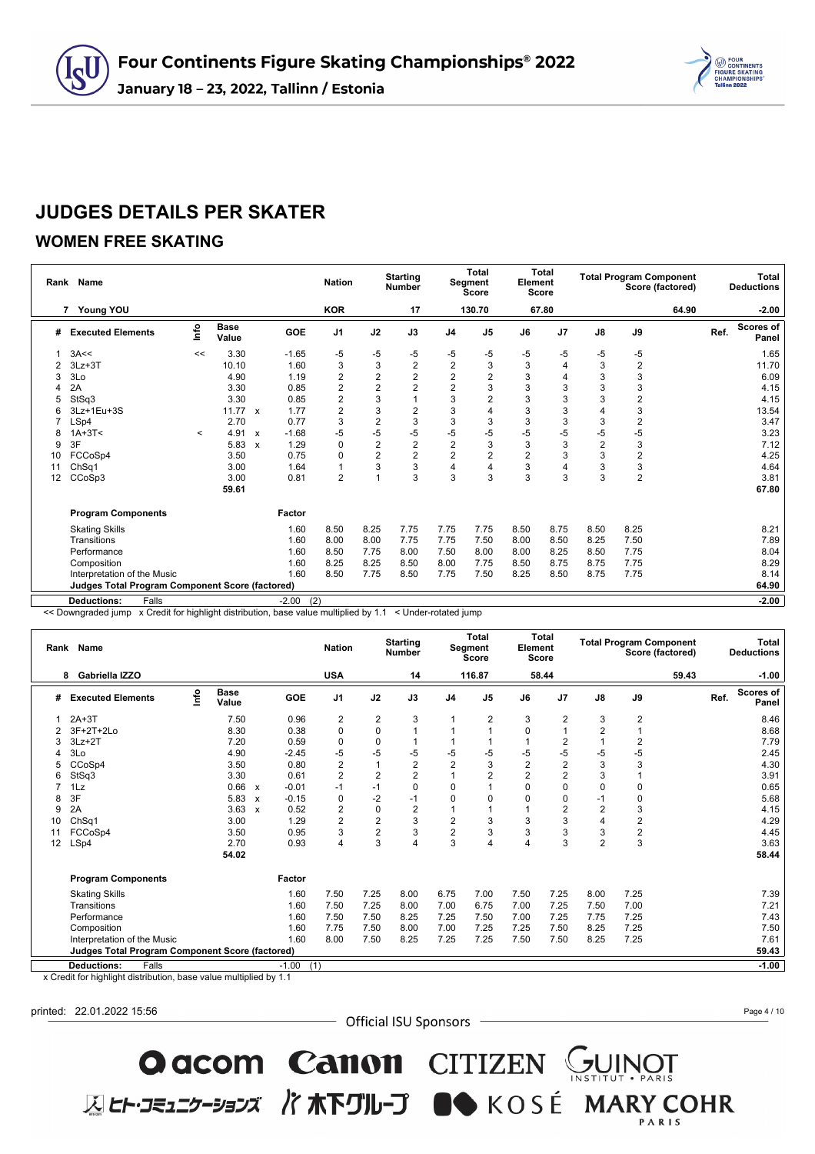

### **WOMEN FREE SKATING**

|    | Rank Name                                              |         |                      |                           |                | <b>Nation</b>  |                | <b>Starting</b><br><b>Number</b> |                | <b>Total</b><br>Segment<br><b>Score</b> | Element<br><b>Score</b> | <b>Total</b>   |                |                         | <b>Total Program Component</b><br>Score (factored) |      | Total<br><b>Deductions</b> |
|----|--------------------------------------------------------|---------|----------------------|---------------------------|----------------|----------------|----------------|----------------------------------|----------------|-----------------------------------------|-------------------------|----------------|----------------|-------------------------|----------------------------------------------------|------|----------------------------|
|    | Young YOU<br>7                                         |         |                      |                           |                | <b>KOR</b>     |                | 17                               |                | 130.70                                  |                         | 67.80          |                |                         | 64.90                                              |      | $-2.00$                    |
| #  | <b>Executed Elements</b>                               | lnfo    | <b>Base</b><br>Value |                           | <b>GOE</b>     | J <sub>1</sub> | J2             | J3                               | J <sub>4</sub> | J <sub>5</sub>                          | J6                      | J <sub>7</sub> | $\mathsf{J}8$  | $\mathsf{J9}$           |                                                    | Ref. | <b>Scores of</b><br>Panel  |
|    | 3A<<                                                   | <<      | 3.30                 |                           | $-1.65$        | $-5$           | $-5$           | -5                               | -5             | -5                                      | -5                      | -5             | -5             | $-5$                    |                                                    |      | 1.65                       |
|    | $3Lz + 3T$                                             |         | 10.10                |                           | 1.60           | 3              | 3              | $\overline{c}$                   | $\overline{2}$ | 3                                       | 3                       | 4              | 3              | $\overline{2}$          |                                                    |      | 11.70                      |
| 3  | 3Lo                                                    |         | 4.90                 |                           | 1.19           | $\overline{2}$ | $\overline{2}$ | $\overline{2}$                   | $\overline{2}$ | $\overline{2}$                          | 3                       | 4              | 3              | 3                       |                                                    |      | 6.09                       |
|    | 2A                                                     |         | 3.30                 |                           | 0.85           | $\overline{2}$ | $\overline{2}$ | $\overline{2}$                   | $\overline{2}$ | 3                                       | 3                       | 3              | 3              | 3                       |                                                    |      | 4.15                       |
| 5  | StSq3                                                  |         | 3.30                 |                           | 0.85           | $\overline{2}$ | 3              |                                  | 3              | $\overline{2}$                          | 3                       | 3              | 3              | $\overline{\mathbf{c}}$ |                                                    |      | 4.15                       |
| 6  | 3Lz+1Eu+3S                                             |         | $11.77 \times$       |                           | 1.77           | $\overline{2}$ | 3              | $\overline{c}$                   | 3              | 4                                       | 3                       | 3              | 4              | 3                       |                                                    |      | 13.54                      |
|    | LSp4                                                   |         | 2.70                 |                           | 0.77           | 3              | $\overline{2}$ | 3                                | 3              | 3                                       | 3                       | 3              | 3              | $\overline{\mathbf{c}}$ |                                                    |      | 3.47                       |
| 8  | $1A+3T2$                                               | $\prec$ | 4.91                 | $\mathbf{x}$              | $-1.68$        | $-5$           | $-5$           | $-5$                             | $-5$           | $-5$                                    | -5                      | $-5$           | -5             | $-5$                    |                                                    |      | 3.23                       |
| 9  | 3F                                                     |         | 5.83                 | $\boldsymbol{\mathsf{x}}$ | 1.29           | $\mathbf 0$    | $\overline{2}$ | $\overline{2}$                   | $\overline{2}$ | 3                                       | 3                       | 3              | $\overline{2}$ | 3                       |                                                    |      | 7.12                       |
| 10 | FCCoSp4                                                |         | 3.50                 |                           | 0.75           | $\mathbf 0$    | $\overline{2}$ | $\overline{2}$                   | $\overline{2}$ | $\overline{2}$                          | $\overline{2}$          | 3              | 3              | $\overline{c}$          |                                                    |      | 4.25                       |
| 11 | Ch <sub>Sq1</sub>                                      |         | 3.00                 |                           | 1.64           |                | 3              | 3                                | 4              | $\overline{4}$                          | 3                       | 4              | 3              | 3                       |                                                    |      | 4.64                       |
| 12 | CCoSp3                                                 |         | 3.00                 |                           | 0.81           | $\overline{2}$ |                | 3                                | 3              | 3                                       | 3                       | 3              | 3              | $\overline{2}$          |                                                    |      | 3.81                       |
|    |                                                        |         | 59.61                |                           |                |                |                |                                  |                |                                         |                         |                |                |                         |                                                    |      | 67.80                      |
|    | <b>Program Components</b>                              |         |                      |                           | Factor         |                |                |                                  |                |                                         |                         |                |                |                         |                                                    |      |                            |
|    | <b>Skating Skills</b>                                  |         |                      |                           | 1.60           | 8.50           | 8.25           | 7.75                             | 7.75           | 7.75                                    | 8.50                    | 8.75           | 8.50           | 8.25                    |                                                    |      | 8.21                       |
|    | Transitions                                            |         |                      |                           | 1.60           | 8.00           | 8.00           | 7.75                             | 7.75           | 7.50                                    | 8.00                    | 8.50           | 8.25           | 7.50                    |                                                    |      | 7.89                       |
|    | Performance                                            |         |                      |                           | 1.60           | 8.50           | 7.75           | 8.00                             | 7.50           | 8.00                                    | 8.00                    | 8.25           | 8.50           | 7.75                    |                                                    |      | 8.04                       |
|    | Composition                                            |         |                      |                           | 1.60           | 8.25           | 8.25           | 8.50                             | 8.00           | 7.75                                    | 8.50                    | 8.75           | 8.75           | 7.75                    |                                                    |      | 8.29                       |
|    | Interpretation of the Music                            |         |                      |                           | 1.60           | 8.50           | 7.75           | 8.50                             | 7.75           | 7.50                                    | 8.25                    | 8.50           | 8.75           | 7.75                    |                                                    |      | 8.14                       |
|    | <b>Judges Total Program Component Score (factored)</b> |         |                      |                           |                |                |                |                                  |                |                                         |                         |                |                |                         |                                                    |      | 64.90                      |
|    | Falls<br><b>Deductions:</b>                            |         |                      |                           | $-2.00$<br>(2) |                |                |                                  |                |                                         |                         |                |                |                         |                                                    |      | $-2.00$                    |

<< Downgraded jump x Credit for highlight distribution, base value multiplied by 1.1 < Under-rotated jump

|        | Rank Name                                                          |      |                                                              |                           |                | <b>Nation</b>  |                | <b>Starting</b><br><b>Number</b> |                | <b>Total</b><br>Segment<br><b>Score</b> | Element        | <b>Total</b><br><b>Score</b> |                |      | <b>Total Program Component</b><br>Score (factored) |      | <b>Total</b><br><b>Deductions</b> |
|--------|--------------------------------------------------------------------|------|--------------------------------------------------------------|---------------------------|----------------|----------------|----------------|----------------------------------|----------------|-----------------------------------------|----------------|------------------------------|----------------|------|----------------------------------------------------|------|-----------------------------------|
|        | Gabriella IZZO<br>8                                                |      |                                                              |                           |                | <b>USA</b>     |                | 14                               |                | 116.87                                  |                | 58.44                        |                |      | 59.43                                              |      | $-1.00$                           |
| #      | <b>Executed Elements</b>                                           | info | <b>Base</b><br>Value                                         |                           | <b>GOE</b>     | J <sub>1</sub> | J2             | J3                               | J <sub>4</sub> | J <sub>5</sub>                          | J6             | J <sub>7</sub>               | J8             | J9   |                                                    | Ref. | Scores of<br>Panel                |
|        | $2A+3T$                                                            |      | 7.50                                                         |                           | 0.96           | 2              | 2              | 3                                |                | 2                                       | 3              | 2                            | 3              | 2    |                                                    |      | 8.46                              |
|        | 3F+2T+2Lo                                                          |      | 8.30                                                         |                           | 0.38           | 0              | 0              | 1                                |                |                                         | $\Omega$       |                              | $\overline{2}$ |      |                                                    |      | 8.68                              |
|        | $3Lz + 2T$                                                         |      | 7.20                                                         |                           | 0.59           | 0              | $\mathbf 0$    |                                  |                |                                         |                | 2                            |                | 2    |                                                    |      | 7.79                              |
|        | 3Lo                                                                |      | 4.90                                                         |                           | $-2.45$        | $-5$           | $-5$           | $-5$                             | -5             | -5                                      | -5             | $-5$                         | $-5$           | $-5$ |                                                    |      | 2.45                              |
|        | CCoSp4                                                             |      | 3.50                                                         |                           | 0.80           | $\overline{2}$ | 1              | $\overline{2}$                   | $\overline{2}$ | 3                                       | $\overline{2}$ | $\overline{2}$               | 3              | 3    |                                                    |      | 4.30                              |
| 6      | StSq3                                                              |      | 3.30                                                         |                           | 0.61           | $\overline{2}$ | $\overline{2}$ | $\overline{2}$                   |                | $\overline{2}$                          | $\overline{2}$ | $\overline{2}$               | 3              |      |                                                    |      | 3.91                              |
|        | $1\mathsf{L}z$                                                     |      | 0.66                                                         | $\mathsf{x}$              | $-0.01$        | $-1$           | $-1$           | $\mathbf 0$                      | $\Omega$       |                                         | $\Omega$       | 0                            | $\mathbf 0$    | 0    |                                                    |      | 0.65                              |
| 8      | 3F                                                                 |      | 5.83                                                         | $\boldsymbol{\mathsf{x}}$ | $-0.15$        | 0              | $-2$           | $-1$                             | $\Omega$       | 0                                       | $\Omega$       | 0                            | $-1$           | 0    |                                                    |      | 5.68                              |
| 9      | 2A                                                                 |      | 3.63                                                         | $\mathsf{x}$              | 0.52           | $\overline{2}$ | 0              | $\overline{2}$                   |                |                                         |                | $\overline{2}$               | $\overline{2}$ | 3    |                                                    |      | 4.15                              |
| 10     | ChSq1                                                              |      | 3.00                                                         |                           | 1.29           | $\overline{2}$ | $\overline{2}$ | 3                                | $\overline{2}$ | 3                                       | 3              | 3                            | $\overline{4}$ | 2    |                                                    |      | 4.29                              |
| 11     | FCCoSp4                                                            |      | 3.50                                                         |                           | 0.95           | 3              | $\overline{2}$ | 3                                | $\overline{2}$ | 3                                       | 3              | 3                            | 3              | 2    |                                                    |      | 4.45                              |
| 12     | LSp4                                                               |      | 2.70                                                         |                           | 0.93           | 4              | 3              | $\overline{4}$                   | 3              | $\overline{4}$                          | 4              | 3                            | $\overline{2}$ | 3    |                                                    |      | 3.63                              |
|        |                                                                    |      | 54.02                                                        |                           |                |                |                |                                  |                |                                         |                |                              |                |      |                                                    |      | 58.44                             |
|        | <b>Program Components</b>                                          |      |                                                              |                           | Factor         |                |                |                                  |                |                                         |                |                              |                |      |                                                    |      |                                   |
|        | <b>Skating Skills</b>                                              |      |                                                              |                           | 1.60           | 7.50           | 7.25           | 8.00                             | 6.75           | 7.00                                    | 7.50           | 7.25                         | 8.00           | 7.25 |                                                    |      | 7.39                              |
|        | Transitions                                                        |      |                                                              |                           | 1.60           | 7.50           | 7.25           | 8.00                             | 7.00           | 6.75                                    | 7.00           | 7.25                         | 7.50           | 7.00 |                                                    |      | 7.21                              |
|        | Performance                                                        |      |                                                              |                           | 1.60           | 7.50           | 7.50           | 8.25                             | 7.25           | 7.50                                    | 7.00           | 7.25                         | 7.75           | 7.25 |                                                    |      | 7.43                              |
|        | Composition                                                        |      |                                                              |                           | 1.60           | 7.75           | 7.50           | 8.00                             | 7.00           | 7.25                                    | 7.25           | 7.50                         | 8.25           | 7.25 |                                                    |      | 7.50                              |
|        | Interpretation of the Music                                        |      |                                                              |                           | 1.60           | 8.00           | 7.50           | 8.25                             | 7.25           | 7.25                                    | 7.50           | 7.50                         | 8.25           | 7.25 |                                                    |      | 7.61                              |
|        | <b>Judges Total Program Component Score (factored)</b>             |      |                                                              |                           |                |                |                |                                  |                |                                         |                |                              |                |      |                                                    |      | 59.43                             |
|        | <b>Deductions:</b><br>Falls                                        |      |                                                              |                           | $-1.00$<br>(1) |                |                |                                  |                |                                         |                |                              |                |      |                                                    |      | $-1.00$                           |
| $\sim$ | although the following the change of the method and the control of |      | and a complete a consistant of the state of the first of the |                           |                |                |                |                                  |                |                                         |                |                              |                |      |                                                    |      |                                   |

x Credit for highlight distribution, base value multiplied by 1.1

printed: 22.01.2022 15:56

- Official ISU Sponsors -

O acom Canon CITIZEN SUINOT

**区ヒト・コミュニケーションズ バホ下グループ ■◆** KOSÉ MARY COHR

Page 4 / 10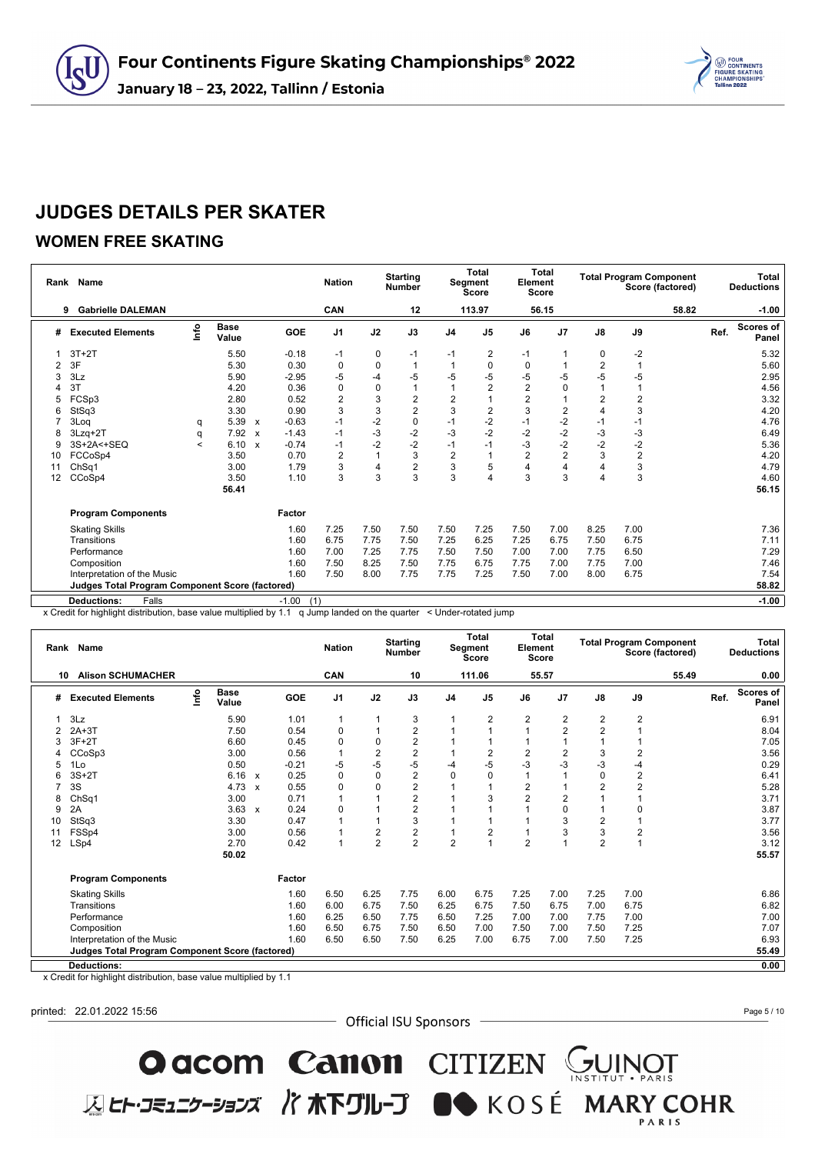

### **WOMEN FREE SKATING**

| Rank | Name                                                   |         |                      |                           |                | <b>Nation</b>  |             | <b>Starting</b><br><b>Number</b> |                | <b>Total</b><br>Segment<br><b>Score</b> | Element        | <b>Total</b><br><b>Score</b> |                |                | <b>Total Program Component</b><br>Score (factored) |      | <b>Total</b><br><b>Deductions</b> |
|------|--------------------------------------------------------|---------|----------------------|---------------------------|----------------|----------------|-------------|----------------------------------|----------------|-----------------------------------------|----------------|------------------------------|----------------|----------------|----------------------------------------------------|------|-----------------------------------|
|      | <b>Gabrielle DALEMAN</b><br>9                          |         |                      |                           |                | CAN            |             | 12                               |                | 113.97                                  |                | 56.15                        |                |                | 58.82                                              |      | $-1.00$                           |
| #    | <b>Executed Elements</b>                               | lnfo    | <b>Base</b><br>Value |                           | GOE            | J <sub>1</sub> | J2          | J3                               | J <sub>4</sub> | J <sub>5</sub>                          | J6             | J <sub>7</sub>               | $\mathsf{J}8$  | J9             |                                                    | Ref. | <b>Scores of</b><br>Panel         |
|      | $3T+2T$                                                |         | 5.50                 |                           | $-0.18$        | -1             | 0           | $-1$                             | $-1$           | 2                                       | -1             |                              | 0              | $-2$           |                                                    |      | 5.32                              |
| 2    | 3F                                                     |         | 5.30                 |                           | 0.30           | $\mathbf 0$    | $\mathbf 0$ | $\mathbf{1}$                     |                | 0                                       | 0              |                              | $\overline{2}$ |                |                                                    |      | 5.60                              |
| 3    | 3Lz                                                    |         | 5.90                 |                           | $-2.95$        | $-5$           | $-4$        | $-5$                             | -5             | -5                                      | -5             | $-5$                         | $-5$           | $-5$           |                                                    |      | 2.95                              |
|      | 3T                                                     |         | 4.20                 |                           | 0.36           | $\mathbf 0$    | $\Omega$    | 1                                |                | $\overline{2}$                          | $\overline{2}$ | 0                            | $\overline{1}$ |                |                                                    |      | 4.56                              |
| 5    | FCSp3                                                  |         | 2.80                 |                           | 0.52           | $\overline{2}$ | 3           | $\overline{c}$                   | 2              |                                         | $\overline{2}$ |                              | $\overline{2}$ | $\overline{2}$ |                                                    |      | 3.32                              |
| 6    | StSq3                                                  |         | 3.30                 |                           | 0.90           | 3              | 3           | $\overline{c}$                   | 3              | $\overline{2}$                          | 3              | 2                            | $\overline{4}$ | 3              |                                                    |      | 4.20                              |
|      | 3Log                                                   | q       | 5.39                 | $\boldsymbol{\mathsf{x}}$ | $-0.63$        | $-1$           | $-2$        | $\mathbf 0$                      | $-1$           | $-2$                                    | $-1$           | $-2$                         | $-1$           | $-1$           |                                                    |      | 4.76                              |
| 8    | $3Lzq+2T$                                              | q       | 7.92                 | $\mathbf{x}$              | $-1.43$        | $-1$           | $-3$        | $-2$                             | $-3$           | $-2$                                    | $-2$           | $-2$                         | $-3$           | $-3$           |                                                    |      | 6.49                              |
| 9    | 3S+2A<+SEQ                                             | $\,<\,$ | 6.10                 | $\boldsymbol{\mathsf{x}}$ | $-0.74$        | $-1$           | $-2$        | $-2$                             | $-1$           | $-1$                                    | $-3$           | $-2$                         | $-2$           | $-2$           |                                                    |      | 5.36                              |
| 10   | FCCoSp4                                                |         | 3.50                 |                           | 0.70           | $\overline{2}$ | 1           | 3                                | $\overline{2}$ |                                         | $\overline{2}$ | $\overline{2}$               | 3              | $\overline{2}$ |                                                    |      | 4.20                              |
| 11   | ChSq1                                                  |         | 3.00                 |                           | 1.79           | 3              | 4           | 2                                | 3              | 5                                       | Δ              | $\overline{4}$               | $\overline{4}$ | 3              |                                                    |      | 4.79                              |
| 12   | CCoSp4                                                 |         | 3.50                 |                           | 1.10           | 3              | 3           | 3                                | 3              | 4                                       | 3              | 3                            | $\overline{4}$ | 3              |                                                    |      | 4.60                              |
|      |                                                        |         | 56.41                |                           |                |                |             |                                  |                |                                         |                |                              |                |                |                                                    |      | 56.15                             |
|      | <b>Program Components</b>                              |         |                      |                           | Factor         |                |             |                                  |                |                                         |                |                              |                |                |                                                    |      |                                   |
|      | <b>Skating Skills</b>                                  |         |                      |                           | 1.60           | 7.25           | 7.50        | 7.50                             | 7.50           | 7.25                                    | 7.50           | 7.00                         | 8.25           | 7.00           |                                                    |      | 7.36                              |
|      | Transitions                                            |         |                      |                           | 1.60           | 6.75           | 7.75        | 7.50                             | 7.25           | 6.25                                    | 7.25           | 6.75                         | 7.50           | 6.75           |                                                    |      | 7.11                              |
|      | Performance                                            |         |                      |                           | 1.60           | 7.00           | 7.25        | 7.75                             | 7.50           | 7.50                                    | 7.00           | 7.00                         | 7.75           | 6.50           |                                                    |      | 7.29                              |
|      | Composition                                            |         |                      |                           | 1.60           | 7.50           | 8.25        | 7.50                             | 7.75           | 6.75                                    | 7.75           | 7.00                         | 7.75           | 7.00           |                                                    |      | 7.46                              |
|      | Interpretation of the Music                            |         |                      |                           | 1.60           | 7.50           | 8.00        | 7.75                             | 7.75           | 7.25                                    | 7.50           | 7.00                         | 8.00           | 6.75           |                                                    |      | 7.54                              |
|      | <b>Judges Total Program Component Score (factored)</b> |         |                      |                           |                |                |             |                                  |                |                                         |                |                              |                |                |                                                    |      | 58.82                             |
|      | Falls<br><b>Deductions:</b>                            |         |                      |                           | $-1.00$<br>(1) |                |             |                                  |                |                                         |                |                              |                |                |                                                    |      | $-1.00$                           |

x Credit for highlight distribution, base value multiplied by 1.1 q Jump landed on the quarter < Under-rotated jump

|    | Rank Name                                              |    |                      |              |         | <b>Nation</b>  |                         | <b>Starting</b><br><b>Number</b> |                | <b>Total</b><br>Segment<br><b>Score</b> | Element        | <b>Total</b><br><b>Score</b> |                |                | <b>Total Program Component</b><br>Score (factored) |      | <b>Total</b><br><b>Deductions</b> |
|----|--------------------------------------------------------|----|----------------------|--------------|---------|----------------|-------------------------|----------------------------------|----------------|-----------------------------------------|----------------|------------------------------|----------------|----------------|----------------------------------------------------|------|-----------------------------------|
| 10 | <b>Alison SCHUMACHER</b>                               |    |                      |              |         | CAN            |                         | 10                               |                | 111.06                                  |                | 55.57                        |                |                | 55.49                                              |      | 0.00                              |
| #  | <b>Executed Elements</b>                               | ۴o | <b>Base</b><br>Value |              | GOE     | J <sub>1</sub> | J2                      | J3                               | J <sub>4</sub> | J <sub>5</sub>                          | J6             | J <sub>7</sub>               | $\mathsf{J}8$  | J9             |                                                    | Ref. | <b>Scores of</b><br>Panel         |
|    | 3Lz                                                    |    | 5.90                 |              | 1.01    | $\overline{1}$ |                         | 3                                |                | 2                                       | $\overline{2}$ | 2                            | 2              | $\overline{2}$ |                                                    |      | 6.91                              |
|    | $2A+3T$                                                |    | 7.50                 |              | 0.54    | $\pmb{0}$      |                         | $\overline{\mathbf{c}}$          |                |                                         |                | $\overline{2}$               | $\overline{c}$ |                |                                                    |      | 8.04                              |
|    | $3F+2T$                                                |    | 6.60                 |              | 0.45    | 0              | 0                       | $\overline{2}$                   |                |                                         |                |                              | 1              |                |                                                    |      | 7.05                              |
|    | CCoSp3                                                 |    | 3.00                 |              | 0.56    | $\overline{1}$ | $\overline{\mathbf{c}}$ | $\overline{c}$                   |                | 2                                       | $\overline{2}$ | 2                            | 3              | $\overline{2}$ |                                                    |      | 3.56                              |
| 5  | 1Lo                                                    |    | 0.50                 |              | $-0.21$ | -5             | $-5$                    | $-5$                             | -4             | $-5$                                    | $-3$           | $-3$                         | $-3$           | -4             |                                                    |      | 0.29                              |
|    | $3S+2T$                                                |    | 6.16 x               |              | 0.25    | $\mathbf 0$    | $\Omega$                | $\overline{2}$                   | $\Omega$       | 0                                       |                |                              | $\Omega$       | $\overline{c}$ |                                                    |      | 6.41                              |
|    | 3S                                                     |    | 4.73                 | $\mathsf{x}$ | 0.55    | 0              | 0                       | $\overline{\mathbf{c}}$          |                |                                         | $\overline{2}$ |                              | $\overline{2}$ | 2              |                                                    |      | 5.28                              |
| 8  | ChSq1                                                  |    | 3.00                 |              | 0.71    | $\overline{1}$ |                         | $\overline{c}$                   |                | 3                                       |                | 2                            |                |                |                                                    |      | 3.71                              |
| 9  | 2A                                                     |    | 3.63                 | $\mathsf{x}$ | 0.24    | 0              |                         | $\overline{2}$                   |                |                                         |                | $\Omega$                     | $\overline{1}$ | 0              |                                                    |      | 3.87                              |
| 10 | StSq3                                                  |    | 3.30                 |              | 0.47    |                |                         | 3                                |                |                                         |                | 3                            | $\overline{2}$ |                |                                                    |      | 3.77                              |
| 11 | FSSp4                                                  |    | 3.00                 |              | 0.56    |                | 2                       | $\overline{\mathbf{c}}$          |                | 2                                       |                | 3                            | 3              | 2              |                                                    |      | 3.56                              |
| 12 | LSp4                                                   |    | 2.70                 |              | 0.42    | $\overline{1}$ | $\overline{2}$          | $\overline{2}$                   | $\overline{2}$ |                                         | $\overline{2}$ |                              | $\overline{2}$ |                |                                                    |      | 3.12                              |
|    |                                                        |    | 50.02                |              |         |                |                         |                                  |                |                                         |                |                              |                |                |                                                    |      | 55.57                             |
|    | <b>Program Components</b>                              |    |                      |              | Factor  |                |                         |                                  |                |                                         |                |                              |                |                |                                                    |      |                                   |
|    | <b>Skating Skills</b>                                  |    |                      |              | 1.60    | 6.50           | 6.25                    | 7.75                             | 6.00           | 6.75                                    | 7.25           | 7.00                         | 7.25           | 7.00           |                                                    |      | 6.86                              |
|    | Transitions                                            |    |                      |              | 1.60    | 6.00           | 6.75                    | 7.50                             | 6.25           | 6.75                                    | 7.50           | 6.75                         | 7.00           | 6.75           |                                                    |      | 6.82                              |
|    | Performance                                            |    |                      |              | 1.60    | 6.25           | 6.50                    | 7.75                             | 6.50           | 7.25                                    | 7.00           | 7.00                         | 7.75           | 7.00           |                                                    |      | 7.00                              |
|    | Composition                                            |    |                      |              | 1.60    | 6.50           | 6.75                    | 7.50                             | 6.50           | 7.00                                    | 7.50           | 7.00                         | 7.50           | 7.25           |                                                    |      | 7.07                              |
|    | Interpretation of the Music                            |    |                      |              | 1.60    | 6.50           | 6.50                    | 7.50                             | 6.25           | 7.00                                    | 6.75           | 7.00                         | 7.50           | 7.25           |                                                    |      | 6.93                              |
|    | <b>Judges Total Program Component Score (factored)</b> |    |                      |              |         |                |                         |                                  |                |                                         |                |                              |                |                |                                                    |      | 55.49                             |
|    | <b>Deductions:</b>                                     |    |                      |              |         |                |                         |                                  |                |                                         |                |                              |                |                |                                                    |      | 0.00                              |

x Credit for highlight distribution, base value multiplied by 1.1

printed: 22.01.2022 15:56

- Official ISU Sponsors -

**O acom Canon** CITIZEN GUINOT<br>ELET-JE117-337 / TRETUL-J ON KOSÉ MARY COHR

Page 5 / 10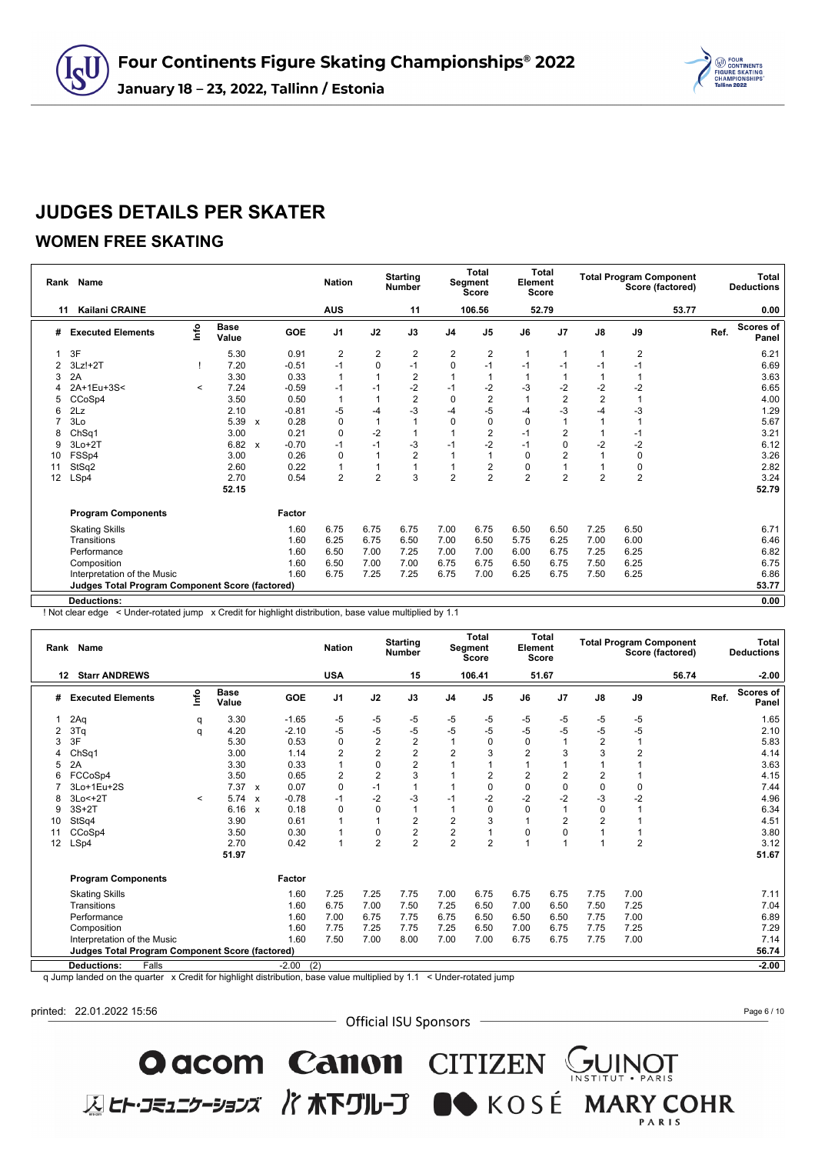

### **WOMEN FREE SKATING**

|    | Rank Name                                       |         |                      |                           |         | <b>Nation</b>  |                | <b>Starting</b><br><b>Number</b> |                | Total<br>Segment<br><b>Score</b> | Element        | <b>Total</b><br><b>Score</b> |                |                | <b>Total Program Component</b><br>Score (factored) |      | Total<br><b>Deductions</b> |
|----|-------------------------------------------------|---------|----------------------|---------------------------|---------|----------------|----------------|----------------------------------|----------------|----------------------------------|----------------|------------------------------|----------------|----------------|----------------------------------------------------|------|----------------------------|
| 11 | <b>Kailani CRAINE</b>                           |         |                      |                           |         | <b>AUS</b>     |                | 11                               |                | 106.56                           |                | 52.79                        |                |                | 53.77                                              |      | 0.00                       |
| #  | <b>Executed Elements</b>                        | lnfo    | <b>Base</b><br>Value |                           | GOE     | J <sub>1</sub> | J2             | J3                               | J <sub>4</sub> | J <sub>5</sub>                   | J6             | J <sub>7</sub>               | $\mathsf{J}8$  | J9             |                                                    | Ref. | <b>Scores of</b><br>Panel  |
|    | 3F                                              |         | 5.30                 |                           | 0.91    | $\overline{2}$ | $\overline{2}$ | 2                                | 2              | 2                                | 1              | 1                            | $\overline{1}$ | $\overline{2}$ |                                                    |      | 6.21                       |
| 2  | $3Lz!+2T$                                       |         | 7.20                 |                           | $-0.51$ | $-1$           | $\mathbf 0$    | $-1$                             | 0              | $-1$                             | $-1$           | $-1$                         | $-1$           | $-1$           |                                                    |      | 6.69                       |
| 3  | 2A                                              |         | 3.30                 |                           | 0.33    | $\overline{1}$ |                | $\overline{2}$                   |                |                                  |                |                              | 1              |                |                                                    |      | 3.63                       |
|    | 2A+1Eu+3S<                                      | $\prec$ | 7.24                 |                           | $-0.59$ | $-1$           | $-1$           | $-2$                             | $-1$           | $-2$                             | $-3$           | $-2$                         | $-2$           | $-2$           |                                                    |      | 6.65                       |
| 5  | CCoSp4                                          |         | 3.50                 |                           | 0.50    | $\overline{1}$ |                | $\overline{2}$                   | $\mathbf 0$    | $\overline{2}$                   |                | $\overline{2}$               | $\overline{2}$ |                |                                                    |      | 4.00                       |
| 6  | 2Lz                                             |         | 2.10                 |                           | $-0.81$ | -5             | $-4$           | $-3$                             | $-4$           | $-5$                             | -4             | $-3$                         | -4             | $-3$           |                                                    |      | 1.29                       |
|    | 3Lo                                             |         | 5.39                 | $\boldsymbol{\mathsf{x}}$ | 0.28    | 0              |                |                                  | $\Omega$       | 0                                | 0              |                              |                |                |                                                    |      | 5.67                       |
| 8  | Ch <sub>Sq1</sub>                               |         | 3.00                 |                           | 0.21    | 0              | $-2$           |                                  |                | 2                                | $-1$           | $\overline{2}$               |                | $-1$           |                                                    |      | 3.21                       |
| 9  | $3Lo+2T$                                        |         | 6.82                 | $\mathbf{x}$              | $-0.70$ | $-1$           | $-1$           | $-3$                             | $-1$           | $-2$                             | $-1$           | 0                            | $-2$           | $-2$           |                                                    |      | 6.12                       |
| 10 | FSSp4                                           |         | 3.00                 |                           | 0.26    | 0              |                | $\overline{2}$                   |                |                                  | $\Omega$       | 2                            | 1              | 0              |                                                    |      | 3.26                       |
| 11 | StSq2                                           |         | 2.60                 |                           | 0.22    |                |                |                                  |                | $\overline{2}$                   | 0              |                              |                | 0              |                                                    |      | 2.82                       |
| 12 | LSp4                                            |         | 2.70                 |                           | 0.54    | $\overline{2}$ | $\overline{2}$ | 3                                | 2              | $\overline{2}$                   | $\overline{2}$ | $\overline{2}$               | $\overline{2}$ | $\overline{2}$ |                                                    |      | 3.24                       |
|    |                                                 |         | 52.15                |                           |         |                |                |                                  |                |                                  |                |                              |                |                |                                                    |      | 52.79                      |
|    | <b>Program Components</b>                       |         |                      |                           | Factor  |                |                |                                  |                |                                  |                |                              |                |                |                                                    |      |                            |
|    | <b>Skating Skills</b>                           |         |                      |                           | 1.60    | 6.75           | 6.75           | 6.75                             | 7.00           | 6.75                             | 6.50           | 6.50                         | 7.25           | 6.50           |                                                    |      | 6.71                       |
|    | Transitions                                     |         |                      |                           | 1.60    | 6.25           | 6.75           | 6.50                             | 7.00           | 6.50                             | 5.75           | 6.25                         | 7.00           | 6.00           |                                                    |      | 6.46                       |
|    | Performance                                     |         |                      |                           | 1.60    | 6.50           | 7.00           | 7.25                             | 7.00           | 7.00                             | 6.00           | 6.75                         | 7.25           | 6.25           |                                                    |      | 6.82                       |
|    | Composition                                     |         |                      |                           | 1.60    | 6.50           | 7.00           | 7.00                             | 6.75           | 6.75                             | 6.50           | 6.75                         | 7.50           | 6.25           |                                                    |      | 6.75                       |
|    | Interpretation of the Music                     |         |                      |                           | 1.60    | 6.75           | 7.25           | 7.25                             | 6.75           | 7.00                             | 6.25           | 6.75                         | 7.50           | 6.25           |                                                    |      | 6.86                       |
|    | Judges Total Program Component Score (factored) |         |                      |                           |         |                |                |                                  |                |                                  |                |                              |                |                |                                                    |      | 53.77                      |
|    | <b>Deductions:</b>                              |         |                      |                           |         |                |                |                                  |                |                                  |                |                              |                |                |                                                    |      | 0.00                       |

! Not clear edge < Under-rotated jump x Credit for highlight distribution, base value multiplied by 1.1

|    | Rank Name                                              |         |                      |              |         | <b>Nation</b>  |                | <b>Starting</b><br><b>Number</b> |                | <b>Total</b><br>Segment<br><b>Score</b> | Element        | <b>Total</b><br><b>Score</b> |                |                | <b>Total Program Component</b><br>Score (factored) |      | <b>Total</b><br><b>Deductions</b> |
|----|--------------------------------------------------------|---------|----------------------|--------------|---------|----------------|----------------|----------------------------------|----------------|-----------------------------------------|----------------|------------------------------|----------------|----------------|----------------------------------------------------|------|-----------------------------------|
| 12 | <b>Starr ANDREWS</b>                                   |         |                      |              |         | <b>USA</b>     |                | 15                               |                | 106.41                                  |                | 51.67                        |                |                | 56.74                                              |      | $-2.00$                           |
| #  | <b>Executed Elements</b>                               | lnfo    | <b>Base</b><br>Value |              | GOE     | J <sub>1</sub> | J2             | J3                               | J <sub>4</sub> | J <sub>5</sub>                          | J6             | J <sub>7</sub>               | $\mathsf{J}8$  | J9             |                                                    | Ref. | Scores of<br>Panel                |
|    | 2Aq                                                    | q       | 3.30                 |              | $-1.65$ | -5             | -5             | $-5$                             | -5             | -5                                      | -5             | $-5$                         | -5             | $-5$           |                                                    |      | 1.65                              |
|    | 3Tq                                                    | q       | 4.20                 |              | $-2.10$ | -5             | $-5$           | $-5$                             | $-5$           | -5                                      | -5             | $-5$                         | $-5$           | $-5$           |                                                    |      | 2.10                              |
|    | 3F                                                     |         | 5.30                 |              | 0.53    | $\Omega$       | $\overline{2}$ | $\overline{2}$                   | 1              | $\Omega$                                | $\Omega$       |                              | $\overline{2}$ |                |                                                    |      | 5.83                              |
|    | ChSq1                                                  |         | 3.00                 |              | 1.14    | $\overline{2}$ | 2              | $\overline{2}$                   | $\overline{2}$ | 3                                       | $\overline{2}$ | 3                            | 3              | $\overline{2}$ |                                                    |      | 4.14                              |
| 5  | 2A                                                     |         | 3.30                 |              | 0.33    |                | 0              | $\overline{2}$                   |                |                                         |                |                              |                |                |                                                    |      | 3.63                              |
| 6  | FCCoSp4                                                |         | 3.50                 |              | 0.65    | $\overline{2}$ | $\overline{2}$ | 3                                |                | $\overline{2}$                          | $\overline{2}$ | $\overline{2}$               | $\overline{2}$ |                |                                                    |      | 4.15                              |
|    | 3Lo+1Eu+2S                                             |         | 7.37                 | $\mathsf{x}$ | 0.07    | 0              | $-1$           | $\overline{1}$                   |                | 0                                       | 0              | 0                            | $\mathbf 0$    | 0              |                                                    |      | 7.44                              |
| 8  | $3Lo < +2T$                                            | $\prec$ | 5.74                 | $\mathbf{x}$ | $-0.78$ | $-1$           | $-2$           | $-3$                             | $-1$           | $-2$                                    | $-2$           | $-2$                         | -3             | $-2$           |                                                    |      | 4.96                              |
| 9  | $3S+2T$                                                |         | 6.16                 | $\mathsf{x}$ | 0.18    | 0              | 0              | $\mathbf{1}$                     |                | $\Omega$                                | 0              |                              | $\mathbf 0$    |                |                                                    |      | 6.34                              |
| 10 | StSq4                                                  |         | 3.90                 |              | 0.61    |                | 1              | $\overline{2}$                   | $\overline{2}$ | 3                                       |                | 2                            | $\overline{2}$ |                |                                                    |      | 4.51                              |
| 11 | CCoSp4                                                 |         | 3.50                 |              | 0.30    |                | 0              | $\overline{c}$                   | $\overline{c}$ |                                         | 0              | 0                            |                |                |                                                    |      | 3.80                              |
| 12 | LSp4                                                   |         | 2.70                 |              | 0.42    | 1              | $\overline{2}$ | $\overline{2}$                   | $\overline{2}$ | $\overline{2}$                          |                |                              |                | $\overline{2}$ |                                                    |      | 3.12                              |
|    |                                                        |         | 51.97                |              |         |                |                |                                  |                |                                         |                |                              |                |                |                                                    |      | 51.67                             |
|    | <b>Program Components</b>                              |         |                      |              | Factor  |                |                |                                  |                |                                         |                |                              |                |                |                                                    |      |                                   |
|    | <b>Skating Skills</b>                                  |         |                      |              | 1.60    | 7.25           | 7.25           | 7.75                             | 7.00           | 6.75                                    | 6.75           | 6.75                         | 7.75           | 7.00           |                                                    |      | 7.11                              |
|    | Transitions                                            |         |                      |              | 1.60    | 6.75           | 7.00           | 7.50                             | 7.25           | 6.50                                    | 7.00           | 6.50                         | 7.50           | 7.25           |                                                    |      | 7.04                              |
|    | Performance                                            |         |                      |              | 1.60    | 7.00           | 6.75           | 7.75                             | 6.75           | 6.50                                    | 6.50           | 6.50                         | 7.75           | 7.00           |                                                    |      | 6.89                              |
|    | Composition                                            |         |                      |              | 1.60    | 7.75           | 7.25           | 7.75                             | 7.25           | 6.50                                    | 7.00           | 6.75                         | 7.75           | 7.25           |                                                    |      | 7.29                              |
|    | Interpretation of the Music                            |         |                      |              | 1.60    | 7.50           | 7.00           | 8.00                             | 7.00           | 7.00                                    | 6.75           | 6.75                         | 7.75           | 7.00           |                                                    |      | 7.14                              |
|    | <b>Judges Total Program Component Score (factored)</b> |         |                      |              |         |                |                |                                  |                |                                         |                |                              |                |                |                                                    |      | 56.74                             |
|    | <b>Deductions:</b><br>Falls                            |         |                      |              | $-2.00$ | (2)            |                |                                  |                |                                         |                |                              |                |                |                                                    |      | $-2.00$                           |

q Jump landed on the quarter x Credit for highlight distribution, base value multiplied by 1.1 < Under-rotated jump

printed: 22.01.2022 15:56

- Official ISU Sponsors -

**O acom Canon** CITIZEN GUINOT<br>ELET-JE115-337 / TREAD DUNGE MARY COHR

Page 6 / 10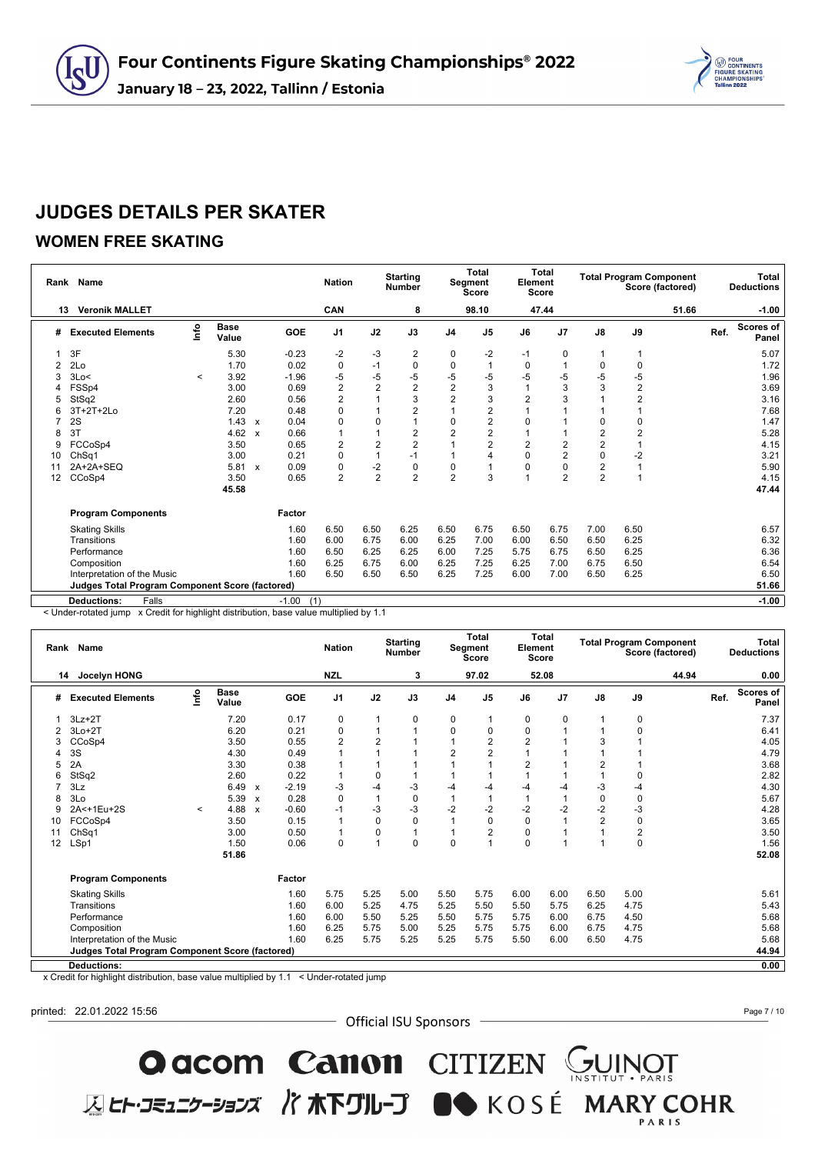

### **WOMEN FREE SKATING**

|    | Rank Name                                              |         |                      |                           |            | <b>Nation</b>  | <b>Starting</b><br><b>Number</b> |                | <b>Total</b><br>Segment<br>Score |                | Element        | <b>Total</b><br><b>Score</b> |                |                         | <b>Total Program Component</b><br>Score (factored) |      | Total<br><b>Deductions</b> |
|----|--------------------------------------------------------|---------|----------------------|---------------------------|------------|----------------|----------------------------------|----------------|----------------------------------|----------------|----------------|------------------------------|----------------|-------------------------|----------------------------------------------------|------|----------------------------|
|    | <b>Veronik MALLET</b><br>13                            |         |                      |                           |            | CAN            |                                  | 8              |                                  | 98.10          |                | 47.44                        |                |                         | 51.66                                              |      | $-1.00$                    |
| #  | <b>Executed Elements</b>                               | lnfo    | <b>Base</b><br>Value |                           | <b>GOE</b> | J <sub>1</sub> | J2                               | J3             | J <sub>4</sub>                   | J <sub>5</sub> | J6             | J <sub>7</sub>               | $\mathsf{J}8$  | J9                      |                                                    | Ref. | <b>Scores of</b><br>Panel  |
|    | 3F                                                     |         | 5.30                 |                           | $-0.23$    | $-2$           | $-3$                             | 2              | 0                                | -2             | -1             | 0                            | 1              |                         |                                                    |      | 5.07                       |
| 2  | 2Lo                                                    |         | 1.70                 |                           | 0.02       | $\pmb{0}$      | $-1$                             | $\mathbf 0$    | $\mathbf 0$                      |                | $\mathbf 0$    |                              | 0              | $\pmb{0}$               |                                                    |      | 1.72                       |
| 3  | 3Lo<                                                   | $\prec$ | 3.92                 |                           | $-1.96$    | $-5$           | $-5$                             | $-5$           | $-5$                             | -5             | $-5$           | $-5$                         | -5             | $-5$                    |                                                    |      | 1.96                       |
|    | FSSp4                                                  |         | 3.00                 |                           | 0.69       | $\overline{2}$ | $\overline{2}$                   | $\overline{2}$ | $\overline{2}$                   | 3              |                | 3                            | 3              | $\overline{\mathbf{c}}$ |                                                    |      | 3.69                       |
|    | StSq2                                                  |         | 2.60                 |                           | 0.56       | $\overline{2}$ |                                  | 3              | $\overline{2}$                   | 3              | $\overline{2}$ | 3                            |                | $\overline{c}$          |                                                    |      | 3.16                       |
|    | 3T+2T+2Lo                                              |         | 7.20                 |                           | 0.48       | 0              |                                  | $\overline{2}$ |                                  | 2              |                |                              |                |                         |                                                    |      | 7.68                       |
|    | 2S                                                     |         | 1.43                 | $\boldsymbol{\mathsf{x}}$ | 0.04       | $\mathbf 0$    | 0                                |                | 0                                | $\overline{2}$ | 0              |                              | $\mathbf 0$    | 0                       |                                                    |      | 1.47                       |
| 8  | 3T                                                     |         | 4.62                 | $\mathbf{x}$              | 0.66       |                |                                  | $\overline{2}$ | $\overline{2}$                   | $\overline{c}$ |                |                              | $\overline{2}$ | $\overline{2}$          |                                                    |      | 5.28                       |
| 9  | FCCoSp4                                                |         | 3.50                 |                           | 0.65       | $\overline{2}$ | $\overline{2}$                   | $\overline{2}$ |                                  | $\overline{2}$ | $\overline{2}$ | $\overline{2}$               | $\overline{2}$ |                         |                                                    |      | 4.15                       |
| 10 | ChSq1                                                  |         | 3.00                 |                           | 0.21       | $\mathbf 0$    |                                  | $-1$           |                                  | $\overline{4}$ | 0              | $\overline{2}$               | $\mathbf 0$    | $-2$                    |                                                    |      | 3.21                       |
| 11 | 2A+2A+SEQ                                              |         | 5.81                 | $\mathsf{x}$              | 0.09       | 0              | $-2$                             | 0              | 0                                |                | 0              | 0                            | $\overline{2}$ |                         |                                                    |      | 5.90                       |
| 12 | CCoSp4                                                 |         | 3.50                 |                           | 0.65       | $\overline{2}$ | $\overline{2}$                   | $\overline{2}$ | $\overline{2}$                   | 3              |                | $\overline{2}$               | $\overline{2}$ |                         |                                                    |      | 4.15                       |
|    |                                                        |         | 45.58                |                           |            |                |                                  |                |                                  |                |                |                              |                |                         |                                                    |      | 47.44                      |
|    | <b>Program Components</b>                              |         |                      |                           | Factor     |                |                                  |                |                                  |                |                |                              |                |                         |                                                    |      |                            |
|    | <b>Skating Skills</b>                                  |         |                      |                           | 1.60       | 6.50           | 6.50                             | 6.25           | 6.50                             | 6.75           | 6.50           | 6.75                         | 7.00           | 6.50                    |                                                    |      | 6.57                       |
|    | Transitions                                            |         |                      |                           | 1.60       | 6.00           | 6.75                             | 6.00           | 6.25                             | 7.00           | 6.00           | 6.50                         | 6.50           | 6.25                    |                                                    |      | 6.32                       |
|    | Performance                                            |         |                      |                           | 1.60       | 6.50           | 6.25                             | 6.25           | 6.00                             | 7.25           | 5.75           | 6.75                         | 6.50           | 6.25                    |                                                    |      | 6.36                       |
|    | Composition                                            |         |                      |                           | 1.60       | 6.25           | 6.75                             | 6.00           | 6.25                             | 7.25           | 6.25           | 7.00                         | 6.75           | 6.50                    |                                                    |      | 6.54                       |
|    | Interpretation of the Music                            |         |                      |                           | 1.60       | 6.50           | 6.50                             | 6.50           | 6.25                             | 7.25           | 6.00           | 7.00                         | 6.50           | 6.25                    |                                                    |      | 6.50                       |
|    | <b>Judges Total Program Component Score (factored)</b> |         |                      |                           |            |                |                                  |                |                                  |                |                |                              |                |                         |                                                    |      | 51.66                      |
|    | Falls<br><b>Deductions:</b>                            |         |                      |                           | $-1.00$    | (1)            |                                  |                |                                  |                |                |                              |                |                         |                                                    |      | $-1.00$                    |

< Under-rotated jump x Credit for highlight distribution, base value multiplied by 1.1

|    | Rank Name                                              |         |                      |                           |         | <b>Nation</b>  | <b>Starting</b><br>Number |              |                | <b>Total</b><br>Segment<br><b>Score</b> |                | <b>Total</b><br>Element<br><b>Score</b> |                |          | <b>Total Program Component</b><br>Score (factored) |      | <b>Total</b><br><b>Deductions</b> |
|----|--------------------------------------------------------|---------|----------------------|---------------------------|---------|----------------|---------------------------|--------------|----------------|-----------------------------------------|----------------|-----------------------------------------|----------------|----------|----------------------------------------------------|------|-----------------------------------|
|    | Jocelyn HONG<br>14                                     |         |                      |                           |         | <b>NZL</b>     |                           | 3            |                | 97.02                                   |                | 52.08                                   |                |          | 44.94                                              |      | 0.00                              |
| #  | <b>Executed Elements</b>                               | lnfo    | <b>Base</b><br>Value |                           | GOE     | J <sub>1</sub> | J2                        | J3           | J <sub>4</sub> | J <sub>5</sub>                          | J6             | J <sub>7</sub>                          | J8             | J9       |                                                    | Ref. | <b>Scores of</b><br>Panel         |
|    | $3Lz + 2T$                                             |         | 7.20                 |                           | 0.17    | 0              |                           | 0            | 0              |                                         | 0              | 0                                       |                | 0        |                                                    |      | 7.37                              |
| 2  | $3Lo+2T$                                               |         | 6.20                 |                           | 0.21    | 0              |                           | 1            | 0              | 0                                       | 0              |                                         |                | 0        |                                                    |      | 6.41                              |
|    | CCoSp4                                                 |         | 3.50                 |                           | 0.55    | $\overline{2}$ | $\overline{2}$            |              |                | $\overline{2}$                          | $\overline{2}$ |                                         | 3              |          |                                                    |      | 4.05                              |
|    | 3S                                                     |         | 4.30                 |                           | 0.49    |                |                           |              | $\overline{2}$ | $\overline{2}$                          |                |                                         |                |          |                                                    |      | 4.79                              |
|    | 2A                                                     |         | 3.30                 |                           | 0.38    |                |                           |              |                |                                         |                |                                         | 2              |          |                                                    |      | 3.68                              |
| 6  | StSq2                                                  |         | 2.60                 |                           | 0.22    |                | 0                         |              |                |                                         |                |                                         |                | $\Omega$ |                                                    |      | 2.82                              |
|    | 3Lz                                                    |         | 6.49                 | $\mathsf{x}$              | $-2.19$ | -3             | $-4$                      | $-3$         | -4             | -4                                      | -4             | -4                                      | -3             | -4       |                                                    |      | 4.30                              |
| 8  | 3Lo                                                    |         | 5.39                 | $\boldsymbol{\mathsf{x}}$ | 0.28    | $\mathbf 0$    | 1                         | 0            |                |                                         |                |                                         | $\mathbf 0$    | 0        |                                                    |      | 5.67                              |
| 9  | 2A<+1Eu+2S                                             | $\prec$ | 4.88                 | $\mathsf{x}$              | $-0.60$ | $-1$           | $-3$                      | $-3$         | $-2$           | $-2$                                    | $-2$           | $-2$                                    | $-2$           | -3       |                                                    |      | 4.28                              |
| 10 | FCCoSp4                                                |         | 3.50                 |                           | 0.15    | 1              | $\mathbf 0$               | $\mathbf 0$  |                | $\mathbf 0$                             | $\Omega$       |                                         | $\overline{2}$ | 0        |                                                    |      | 3.65                              |
| 11 | ChSq1                                                  |         | 3.00                 |                           | 0.50    | $\overline{1}$ | 0                         | $\mathbf{1}$ |                | $\overline{2}$                          | 0              |                                         |                | 2        |                                                    |      | 3.50                              |
| 12 | LSp1                                                   |         | 1.50                 |                           | 0.06    | $\Omega$       | 1                         | $\Omega$     | $\Omega$       |                                         | $\Omega$       |                                         | $\overline{ }$ | 0        |                                                    |      | 1.56                              |
|    |                                                        |         | 51.86                |                           |         |                |                           |              |                |                                         |                |                                         |                |          |                                                    |      | 52.08                             |
|    | <b>Program Components</b>                              |         |                      |                           | Factor  |                |                           |              |                |                                         |                |                                         |                |          |                                                    |      |                                   |
|    | <b>Skating Skills</b>                                  |         |                      |                           | 1.60    | 5.75           | 5.25                      | 5.00         | 5.50           | 5.75                                    | 6.00           | 6.00                                    | 6.50           | 5.00     |                                                    |      | 5.61                              |
|    | Transitions                                            |         |                      |                           | 1.60    | 6.00           | 5.25                      | 4.75         | 5.25           | 5.50                                    | 5.50           | 5.75                                    | 6.25           | 4.75     |                                                    |      | 5.43                              |
|    | Performance                                            |         |                      |                           | 1.60    | 6.00           | 5.50                      | 5.25         | 5.50           | 5.75                                    | 5.75           | 6.00                                    | 6.75           | 4.50     |                                                    |      | 5.68                              |
|    | Composition                                            |         |                      |                           | 1.60    | 6.25           | 5.75                      | 5.00         | 5.25           | 5.75                                    | 5.75           | 6.00                                    | 6.75           | 4.75     |                                                    |      | 5.68                              |
|    | Interpretation of the Music                            |         |                      |                           | 1.60    | 6.25           | 5.75                      | 5.25         | 5.25           | 5.75                                    | 5.50           | 6.00                                    | 6.50           | 4.75     |                                                    |      | 5.68                              |
|    | <b>Judges Total Program Component Score (factored)</b> |         |                      |                           |         |                |                           |              |                |                                         |                |                                         |                |          |                                                    |      | 44.94                             |
|    | <b>Deductions:</b>                                     |         |                      |                           |         |                |                           |              |                |                                         |                |                                         |                |          |                                                    |      | 0.00                              |

x Credit for highlight distribution, base value multiplied by 1.1 < Under-rotated jump

printed: 22.01.2022 15:56

- Official ISU Sponsors -

O acom Canon CITIZEN SUINOT

**区ヒト・コミュニケーションズ バホ下グループ ■●** KOSÉ MARY COHR

Page 7 / 10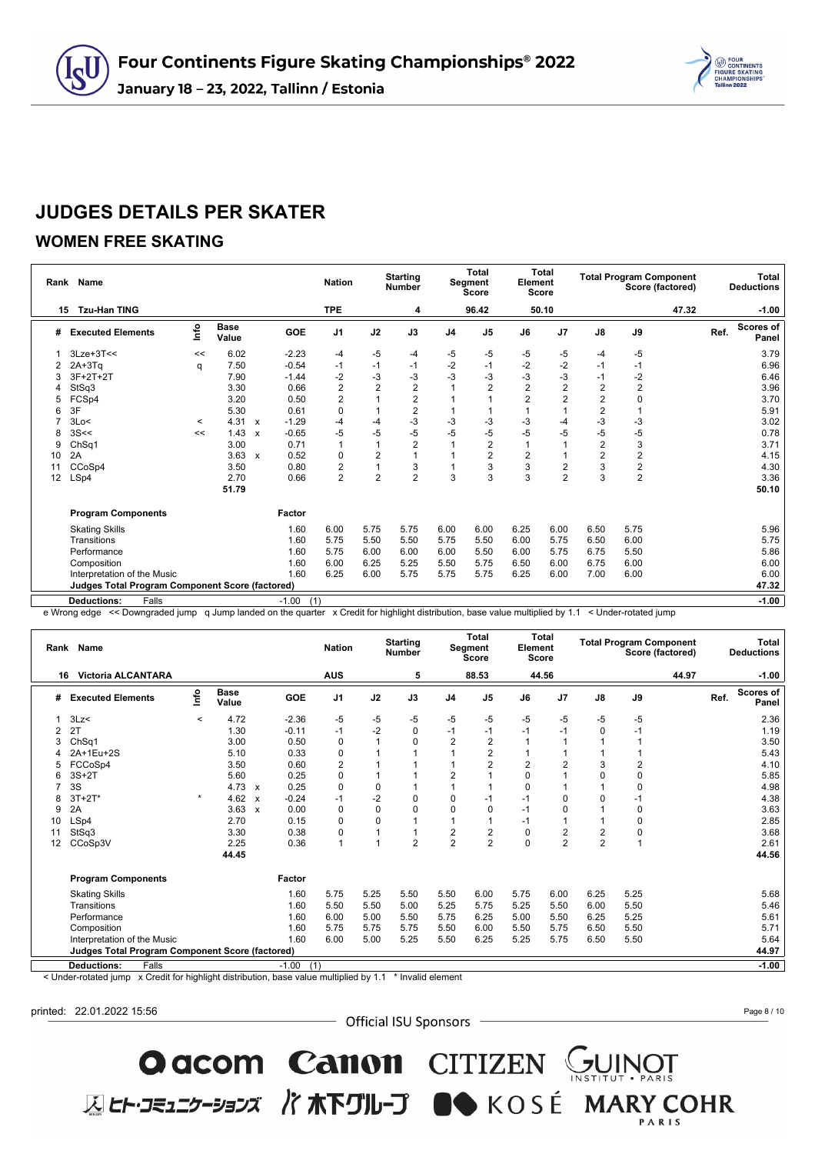

### **WOMEN FREE SKATING**

|    | Rank Name                                              |         |                      |                           |            | <b>Nation</b>  | Total<br><b>Starting</b><br>Segment<br><b>Number</b><br>Score |                | <b>Total</b><br>Element<br>Score |                |      |                | <b>Total Program Component</b><br>Score (factored) |                         | Total<br><b>Deductions</b> |      |                           |
|----|--------------------------------------------------------|---------|----------------------|---------------------------|------------|----------------|---------------------------------------------------------------|----------------|----------------------------------|----------------|------|----------------|----------------------------------------------------|-------------------------|----------------------------|------|---------------------------|
| 15 | <b>Tzu-Han TING</b>                                    |         |                      |                           |            | <b>TPE</b>     |                                                               | 4              |                                  | 96.42          |      | 50.10          |                                                    |                         | 47.32                      |      | $-1.00$                   |
| #  | <b>Executed Elements</b>                               | ۴o      | <b>Base</b><br>Value |                           | <b>GOE</b> | J <sub>1</sub> | J2                                                            | J3             | J4                               | J <sub>5</sub> | J6   | J <sub>7</sub> | $\mathsf{J}8$                                      | J9                      |                            | Ref. | <b>Scores of</b><br>Panel |
|    | $3Lze+3T<<$                                            | <<      | 6.02                 |                           | $-2.23$    | $-4$           | -5                                                            | $-4$           | -5                               | -5             | -5   | -5             | $-4$                                               | -5                      |                            |      | 3.79                      |
|    | $2A+3Tq$                                               | q       | 7.50                 |                           | $-0.54$    | $-1$           | $-1$                                                          | $-1$           | $-2$                             | $-1$           | $-2$ | $-2$           | $-1$                                               | $-1$                    |                            |      | 6.96                      |
| З  | $3F+2T+2T$                                             |         | 7.90                 |                           | $-1.44$    | $-2$           | $-3$                                                          | $-3$           | $-3$                             | -3             | -3   | $-3$           | $-1$                                               | $-2$                    |                            |      | 6.46                      |
|    | StSq3                                                  |         | 3.30                 |                           | 0.66       | $\overline{2}$ | $\overline{2}$                                                | $\overline{2}$ |                                  | $\overline{2}$ | 2    | $\overline{2}$ | $\overline{2}$                                     | $\overline{\mathbf{c}}$ |                            |      | 3.96                      |
| 5  | FCSp4                                                  |         | 3.20                 |                           | 0.50       | $\overline{2}$ |                                                               | $\overline{c}$ |                                  |                | 2    | $\overline{c}$ | $\mathbf 2$                                        | 0                       |                            |      | 3.70                      |
| 6  | 3F                                                     |         | 5.30                 |                           | 0.61       | 0              |                                                               | $\overline{c}$ |                                  |                |      |                | $\overline{2}$                                     |                         |                            |      | 5.91                      |
|    | 3Lo<                                                   | $\prec$ | 4.31                 | $\boldsymbol{\mathsf{x}}$ | $-1.29$    | $-4$           | $-4$                                                          | $-3$           | $-3$                             | -3             | -3   | -4             | $-3$                                               | $-3$                    |                            |      | 3.02                      |
| 8  | 3S <                                                   | <<      | $1.43 \times$        |                           | $-0.65$    | $-5$           | $-5$                                                          | $-5$           | $-5$                             | -5             | -5   | -5             | -5                                                 | $-5$                    |                            |      | 0.78                      |
| 9  | ChSq1                                                  |         | 3.00                 |                           | 0.71       | $\overline{1}$ |                                                               | $\overline{2}$ |                                  | $\overline{c}$ |      |                | $\overline{2}$                                     | 3                       |                            |      | 3.71                      |
| 10 | 2A                                                     |         | 3.63                 | $\mathbf{x}$              | 0.52       | 0              | 2                                                             | 1              |                                  | $\overline{2}$ | 2    |                | $\overline{2}$                                     | $\overline{\mathbf{c}}$ |                            |      | 4.15                      |
| 11 | CCoSp4                                                 |         | 3.50                 |                           | 0.80       | 2              |                                                               | 3              |                                  | 3              | 3    | $\overline{2}$ | 3                                                  | $\frac{2}{2}$           |                            |      | 4.30                      |
| 12 | LSp4                                                   |         | 2.70                 |                           | 0.66       | $\overline{2}$ | $\overline{2}$                                                | $\overline{2}$ | 3                                | 3              | 3    | $\overline{2}$ | 3                                                  |                         |                            |      | 3.36                      |
|    |                                                        |         | 51.79                |                           |            |                |                                                               |                |                                  |                |      |                |                                                    |                         |                            |      | 50.10                     |
|    | <b>Program Components</b>                              |         |                      |                           | Factor     |                |                                                               |                |                                  |                |      |                |                                                    |                         |                            |      |                           |
|    | <b>Skating Skills</b>                                  |         |                      |                           | 1.60       | 6.00           | 5.75                                                          | 5.75           | 6.00                             | 6.00           | 6.25 | 6.00           | 6.50                                               | 5.75                    |                            |      | 5.96                      |
|    | Transitions                                            |         |                      |                           | 1.60       | 5.75           | 5.50                                                          | 5.50           | 5.75                             | 5.50           | 6.00 | 5.75           | 6.50                                               | 6.00                    |                            |      | 5.75                      |
|    | Performance                                            |         |                      |                           | 1.60       | 5.75           | 6.00                                                          | 6.00           | 6.00                             | 5.50           | 6.00 | 5.75           | 6.75                                               | 5.50                    |                            |      | 5.86                      |
|    | Composition                                            |         |                      |                           | 1.60       | 6.00           | 6.25                                                          | 5.25           | 5.50                             | 5.75           | 6.50 | 6.00           | 6.75                                               | 6.00                    |                            |      | 6.00                      |
|    | Interpretation of the Music                            |         |                      |                           | 1.60       | 6.25           | 6.00                                                          | 5.75           | 5.75                             | 5.75           | 6.25 | 6.00           | 7.00                                               | 6.00                    |                            |      | 6.00                      |
|    | <b>Judges Total Program Component Score (factored)</b> |         |                      |                           |            |                |                                                               |                |                                  |                |      |                |                                                    |                         |                            |      | 47.32                     |
|    | Falls<br><b>Deductions:</b>                            |         |                      |                           | $-1.00$    | (1)            |                                                               |                |                                  |                |      |                |                                                    |                         |                            |      | $-1.00$                   |
|    |                                                        |         |                      |                           |            |                |                                                               |                |                                  |                |      |                |                                                    |                         |                            |      |                           |

e Wrong edge << Downgraded jump q Jump landed on the quarter x Credit for highlight distribution, base value multiplied by 1.1 < Under-rotated jump

|    | Name<br>Rank                                           |         |                      |                           |         |                |             | <b>Starting</b><br><b>Number</b> | <b>Total</b><br>Segment<br><b>Score</b> |                | Element        | <b>Total</b><br><b>Score</b> |                |          | <b>Total Program Component</b><br>Score (factored) |      | <b>Total</b><br><b>Deductions</b> |
|----|--------------------------------------------------------|---------|----------------------|---------------------------|---------|----------------|-------------|----------------------------------|-----------------------------------------|----------------|----------------|------------------------------|----------------|----------|----------------------------------------------------|------|-----------------------------------|
| 16 | <b>Victoria ALCANTARA</b>                              |         |                      |                           |         | <b>AUS</b>     |             | 5                                |                                         | 88.53          |                | 44.56                        |                |          | 44.97                                              |      | $-1.00$                           |
| #  | <b>Executed Elements</b>                               | lnfo    | <b>Base</b><br>Value |                           | GOE     | J <sub>1</sub> | J2          | J3                               | J <sub>4</sub>                          | J <sub>5</sub> | J6             | J <sub>7</sub>               | J8             | J9       |                                                    | Ref. | <b>Scores of</b><br>Panel         |
|    | 3Lz                                                    | $\,<\,$ | 4.72                 |                           | $-2.36$ | -5             | -5          | -5                               | -5                                      | -5             | -5             | -5                           | -5             | -5       |                                                    |      | 2.36                              |
|    | 2T                                                     |         | 1.30                 |                           | $-0.11$ | $-1$           | $-2$        | 0                                | $-1$                                    | -1             | $-1$           | $-1$                         | $\mathbf 0$    | $-1$     |                                                    |      | 1.19                              |
|    | ChSq1                                                  |         | 3.00                 |                           | 0.50    | 0              |             | 0                                | 2                                       | $\overline{2}$ |                |                              |                |          |                                                    |      | 3.50                              |
|    | 2A+1Eu+2S                                              |         | 5.10                 |                           | 0.33    | $\mathbf 0$    |             | $\overline{A}$                   |                                         | $\overline{2}$ |                |                              |                |          |                                                    |      | 5.43                              |
|    | FCCoSp4                                                |         | 3.50                 |                           | 0.60    | 2              |             |                                  |                                         | 2              | $\overline{2}$ | $\overline{2}$               | 3              | 2        |                                                    |      | 4.10                              |
|    | $3S+2T$                                                |         | 5.60                 |                           | 0.25    | $\Omega$       |             |                                  | 2                                       |                | $\Omega$       |                              | $\Omega$       | $\Omega$ |                                                    |      | 5.85                              |
|    | 3S                                                     |         | $4.73 \times$        |                           | 0.25    | $\Omega$       | 0           | 1                                |                                         |                | $\Omega$       |                              |                | $\Omega$ |                                                    |      | 4.98                              |
|    | $3T+2T*$                                               | $\star$ | 4.62                 | $\mathbf{x}$              | $-0.24$ | $-1$           | $-2$        | $\mathbf 0$                      | $\Omega$                                | -1             | $-1$           | 0                            | 0              | $-1$     |                                                    |      | 4.38                              |
| 9  | 2A                                                     |         | 3.63                 | $\boldsymbol{\mathsf{x}}$ | 0.00    | $\Omega$       | $\mathbf 0$ | $\Omega$                         | $\Omega$                                | $\Omega$       | $-1$           | 0                            |                | 0        |                                                    |      | 3.63                              |
| 10 | LSp4                                                   |         | 2.70                 |                           | 0.15    | 0              | 0           | 1                                |                                         |                | $-1$           |                              | 1              | 0        |                                                    |      | 2.85                              |
| 11 | StSq3                                                  |         | 3.30                 |                           | 0.38    | 0              |             | 1                                | $\overline{c}$                          | $\overline{2}$ | $\mathbf 0$    | $\overline{2}$               | $\overline{2}$ | 0        |                                                    |      | 3.68                              |
| 12 | CCoSp3V                                                |         | 2.25                 |                           | 0.36    | 1              | 1           | $\overline{2}$                   | $\overline{2}$                          | $\overline{2}$ | $\Omega$       | $\overline{2}$               | $\overline{2}$ | 1        |                                                    |      | 2.61                              |
|    |                                                        |         | 44.45                |                           |         |                |             |                                  |                                         |                |                |                              |                |          |                                                    |      | 44.56                             |
|    | <b>Program Components</b>                              |         |                      |                           | Factor  |                |             |                                  |                                         |                |                |                              |                |          |                                                    |      |                                   |
|    | <b>Skating Skills</b>                                  |         |                      |                           | 1.60    | 5.75           | 5.25        | 5.50                             | 5.50                                    | 6.00           | 5.75           | 6.00                         | 6.25           | 5.25     |                                                    |      | 5.68                              |
|    | Transitions                                            |         |                      |                           | 1.60    | 5.50           | 5.50        | 5.00                             | 5.25                                    | 5.75           | 5.25           | 5.50                         | 6.00           | 5.50     |                                                    |      | 5.46                              |
|    | Performance                                            |         |                      |                           | 1.60    | 6.00           | 5.00        | 5.50                             | 5.75                                    | 6.25           | 5.00           | 5.50                         | 6.25           | 5.25     |                                                    |      | 5.61                              |
|    | Composition                                            |         |                      |                           | 1.60    | 5.75           | 5.75        | 5.75                             | 5.50                                    | 6.00           | 5.50           | 5.75                         | 6.50           | 5.50     |                                                    |      | 5.71                              |
|    | Interpretation of the Music                            |         |                      |                           | 1.60    | 6.00           | 5.00        | 5.25                             | 5.50                                    | 6.25           | 5.25           | 5.75                         | 6.50           | 5.50     |                                                    |      | 5.64                              |
|    | <b>Judges Total Program Component Score (factored)</b> |         |                      |                           |         |                |             |                                  |                                         |                |                |                              |                |          |                                                    |      | 44.97                             |
|    | Falls<br><b>Deductions:</b>                            |         |                      |                           | $-1.00$ | (1)            |             |                                  |                                         |                |                |                              |                |          |                                                    |      | $-1.00$                           |

< Under-rotated jump x Credit for highlight distribution, base value multiplied by 1.1 \* Invalid element

printed: 22.01.2022 15:56

- Official ISU Sponsors -

O acom Canon CITIZEN SUINOT

**区ヒト・コミュニケーションズ バホ下グループ ■●** KOSÉ MARY COHR

Page 8 / 10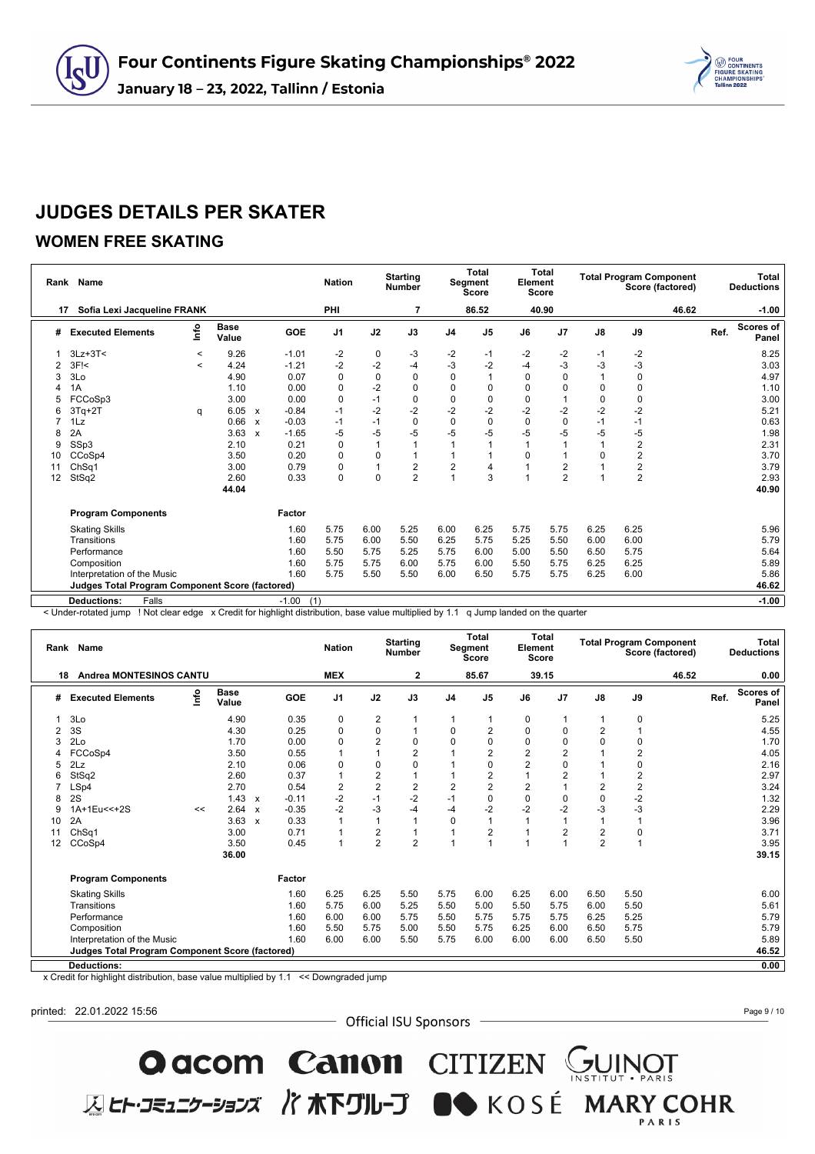

#### **WOMEN FREE SKATING**

|    | Rank Name                                              |         | <b>Nation</b>        | <b>Starting</b><br><b>Number</b> |            |                | <b>Total</b><br><b>Segment</b><br><b>Score</b> |                | <b>Total</b><br>Element<br><b>Score</b> |                |          | <b>Total Program Component</b><br>Score (factored) |             | Total<br><b>Deductions</b> |       |      |                           |
|----|--------------------------------------------------------|---------|----------------------|----------------------------------|------------|----------------|------------------------------------------------|----------------|-----------------------------------------|----------------|----------|----------------------------------------------------|-------------|----------------------------|-------|------|---------------------------|
| 17 | Sofia Lexi Jacqueline FRANK                            |         |                      |                                  |            | PHI            |                                                | $\overline{7}$ |                                         | 86.52          |          | 40.90                                              |             |                            | 46.62 |      | $-1.00$                   |
| #  | <b>Executed Elements</b>                               | lnfo    | <b>Base</b><br>Value |                                  | <b>GOE</b> | J <sub>1</sub> | J2                                             | J3             | J <sub>4</sub>                          | J <sub>5</sub> | J6       | J <sub>7</sub>                                     | J8          | J9                         |       | Ref. | <b>Scores of</b><br>Panel |
|    | $3Lz + 3T <$                                           | $\prec$ | 9.26                 |                                  | $-1.01$    | $-2$           | 0                                              | $-3$           | $-2$                                    | $-1$           | $-2$     | $-2$                                               | $-1$        | $-2$                       |       |      | 8.25                      |
|    | 3F <sub>1</sub>                                        | $\,<\,$ | 4.24                 |                                  | $-1.21$    | $-2$           | $-2$                                           | $-4$           | $-3$                                    | $-2$           | -4       | -3                                                 | -3          | $-3$                       |       |      | 3.03                      |
| 3  | 3Lo                                                    |         | 4.90                 |                                  | 0.07       | $\mathbf 0$    | $\mathbf 0$                                    | $\mathbf 0$    | $\mathbf 0$                             |                | $\Omega$ | 0                                                  |             | $\mathbf 0$                |       |      | 4.97                      |
|    | 1A                                                     |         | 1.10                 |                                  | 0.00       | 0              | $-2$                                           | $\pmb{0}$      | $\mathbf 0$                             | 0              | 0        | 0                                                  | 0           | 0                          |       |      | 1.10                      |
|    | FCCoSp3                                                |         | 3.00                 |                                  | 0.00       | $\mathbf 0$    | $-1$                                           | $\pmb{0}$      | $\mathbf 0$                             | $\mathbf 0$    | 0        |                                                    | 0           | $\pmb{0}$                  |       |      | 3.00                      |
|    | $3Tq+2T$                                               | q       | 6.05                 | $\mathsf{x}$                     | $-0.84$    | $-1$           | $-2$                                           | $-2$           | $-2$                                    | $-2$           | $-2$     | $-2$                                               | $-2$        | $-2$                       |       |      | 5.21                      |
|    | 1Lz                                                    |         | 0.66                 | $\boldsymbol{\mathsf{x}}$        | $-0.03$    | $-1$           | $-1$                                           | $\mathbf 0$    | $\mathbf 0$                             | $\Omega$       | $\Omega$ | $\Omega$                                           | $-1$        | $-1$                       |       |      | 0.63                      |
|    | 2A                                                     |         | 3.63                 | $\mathbf{x}$                     | $-1.65$    | -5             | $-5$                                           | $-5$           | $-5$                                    | -5             | $-5$     | -5                                                 | -5          | $-5$                       |       |      | 1.98                      |
| 9  | SSp3                                                   |         | 2.10                 |                                  | 0.21       | 0              |                                                | $\mathbf{1}$   | $\overline{A}$                          |                |          |                                                    | 1           | $\overline{\mathbf{c}}$    |       |      | 2.31                      |
| 10 | CCoSp4                                                 |         | 3.50                 |                                  | 0.20       | 0              | 0                                              | 1              |                                         |                | $\Omega$ |                                                    | $\mathbf 0$ | $\overline{c}$             |       |      | 3.70                      |
| 11 | ChSq1                                                  |         | 3.00                 |                                  | 0.79       | 0              |                                                | $\overline{2}$ | $\overline{2}$                          | 4              |          | $\overline{2}$                                     |             | $\frac{2}{2}$              |       |      | 3.79                      |
| 12 | StSq2                                                  |         | 2.60                 |                                  | 0.33       | 0              | $\mathbf 0$                                    | $\overline{2}$ |                                         | 3              |          | $\overline{2}$                                     | 1           |                            |       |      | 2.93                      |
|    |                                                        |         | 44.04                |                                  |            |                |                                                |                |                                         |                |          |                                                    |             |                            |       |      | 40.90                     |
|    | <b>Program Components</b>                              |         |                      |                                  | Factor     |                |                                                |                |                                         |                |          |                                                    |             |                            |       |      |                           |
|    | <b>Skating Skills</b>                                  |         |                      |                                  | 1.60       | 5.75           | 6.00                                           | 5.25           | 6.00                                    | 6.25           | 5.75     | 5.75                                               | 6.25        | 6.25                       |       |      | 5.96                      |
|    | Transitions                                            |         |                      |                                  | 1.60       | 5.75           | 6.00                                           | 5.50           | 6.25                                    | 5.75           | 5.25     | 5.50                                               | 6.00        | 6.00                       |       |      | 5.79                      |
|    | Performance                                            |         |                      |                                  | 1.60       | 5.50           | 5.75                                           | 5.25           | 5.75                                    | 6.00           | 5.00     | 5.50                                               | 6.50        | 5.75                       |       |      | 5.64                      |
|    | Composition                                            |         |                      |                                  | 1.60       | 5.75           | 5.75                                           | 6.00           | 5.75                                    | 6.00           | 5.50     | 5.75                                               | 6.25        | 6.25                       |       |      | 5.89                      |
|    | Interpretation of the Music                            |         |                      |                                  | 1.60       | 5.75           | 5.50                                           | 5.50           | 6.00                                    | 6.50           | 5.75     | 5.75                                               | 6.25        | 6.00                       |       |      | 5.86                      |
|    | <b>Judges Total Program Component Score (factored)</b> |         |                      |                                  |            |                |                                                |                |                                         |                |          |                                                    |             |                            |       |      | 46.62                     |
|    | Falls<br><b>Deductions:</b>                            |         |                      |                                  | $-1.00$    | (1)            |                                                |                |                                         |                |          |                                                    |             |                            |       |      | $-1.00$                   |
|    |                                                        |         |                      |                                  |            |                |                                                |                |                                         |                |          |                                                    |             |                            |       |      |                           |

< Under-rotated jump ! Not clear edge x Credit for highlight distribution, base value multiplied by 1.1 q Jump landed on the quarter

| Rank | <b>Name</b>                                     |    | <b>Nation</b>        |                           | <b>Starting</b><br><b>Number</b> | <b>Total</b><br>Segment<br><b>Score</b> |                         | Element        | <b>Total</b><br><b>Score</b> |                |                | <b>Total Program Component</b><br>Score (factored) |                | <b>Total</b><br><b>Deductions</b> |       |      |                           |
|------|-------------------------------------------------|----|----------------------|---------------------------|----------------------------------|-----------------------------------------|-------------------------|----------------|------------------------------|----------------|----------------|----------------------------------------------------|----------------|-----------------------------------|-------|------|---------------------------|
| 18   | <b>Andrea MONTESINOS CANTU</b>                  |    |                      |                           |                                  | <b>MEX</b>                              |                         | 2              |                              | 85.67          |                | 39.15                                              |                |                                   | 46.52 |      | 0.00                      |
| #    | <b>Executed Elements</b>                        | ۴ů | <b>Base</b><br>Value |                           | GOE                              | J <sub>1</sub>                          | J2                      | J3             | J <sub>4</sub>               | J <sub>5</sub> | J6             | J <sub>7</sub>                                     | $\mathsf{J}8$  | J9                                |       | Ref. | <b>Scores of</b><br>Panel |
|      | 3Lo                                             |    | 4.90                 |                           | 0.35                             | 0                                       | 2                       |                |                              |                | 0              |                                                    |                | 0                                 |       |      | 5.25                      |
|      | 3S                                              |    | 4.30                 |                           | 0.25                             | 0                                       | 0                       |                | 0                            | 2              | 0              | 0                                                  | $\overline{2}$ |                                   |       |      | 4.55                      |
|      | 2Lo                                             |    | 1.70                 |                           | 0.00                             | 0                                       | $\overline{2}$          | 0              | 0                            | 0              | $\Omega$       | 0                                                  | 0              | 0                                 |       |      | 1.70                      |
|      | FCCoSp4                                         |    | 3.50                 |                           | 0.55                             |                                         |                         | $\overline{2}$ |                              | $\overline{c}$ | $\overline{2}$ | 2                                                  |                | $\overline{2}$                    |       |      | 4.05                      |
|      | 2Lz                                             |    | 2.10                 |                           | 0.06                             | 0                                       | 0                       | 0              |                              | 0              | $\overline{2}$ | 0                                                  |                | 0                                 |       |      | 2.16                      |
|      | StSq2                                           |    | 2.60                 |                           | 0.37                             |                                         | $\overline{\mathbf{c}}$ | 1              |                              | 2              |                | $\overline{2}$                                     |                | 2                                 |       |      | 2.97                      |
|      | LSp4                                            |    | 2.70                 |                           | 0.54                             | $\overline{2}$                          | $\overline{2}$          | $\overline{2}$ | $\overline{2}$               | $\overline{2}$ | $\overline{2}$ |                                                    | $\overline{2}$ | 2                                 |       |      | 3.24                      |
| 8    | 2S                                              |    | 1.43                 | $\boldsymbol{\mathsf{x}}$ | $-0.11$                          | $-2$                                    | $-1$                    | $-2$           | $-1$                         | 0              | $\Omega$       | 0                                                  | $\mathbf 0$    | $-2$                              |       |      | 1.32                      |
|      | 1A+1Eu<<+2S                                     | << | 2.64                 | $\mathsf{x}$              | $-0.35$                          | $-2$                                    | $-3$                    | $-4$           | $-4$                         | $-2$           | $-2$           | $-2$                                               | $-3$           | $-3$                              |       |      | 2.29                      |
| 10   | 2A                                              |    | 3.63                 | $\boldsymbol{\mathsf{x}}$ | 0.33                             |                                         | $\overline{1}$          | 1              | $\Omega$                     |                |                |                                                    |                |                                   |       |      | 3.96                      |
| 11   | Ch <sub>Sq1</sub>                               |    | 3.00                 |                           | 0.71                             |                                         | $\overline{\mathbf{c}}$ | $\mathbf{1}$   |                              | 2              |                | 2                                                  | $\overline{2}$ | 0                                 |       |      | 3.71                      |
| 12   | CCoSp4                                          |    | 3.50                 |                           | 0.45                             |                                         | $\overline{2}$          | $\overline{2}$ |                              |                |                |                                                    | $\overline{2}$ |                                   |       |      | 3.95                      |
|      |                                                 |    | 36.00                |                           |                                  |                                         |                         |                |                              |                |                |                                                    |                |                                   |       |      | 39.15                     |
|      | <b>Program Components</b>                       |    |                      |                           | Factor                           |                                         |                         |                |                              |                |                |                                                    |                |                                   |       |      |                           |
|      | <b>Skating Skills</b>                           |    |                      |                           | 1.60                             | 6.25                                    | 6.25                    | 5.50           | 5.75                         | 6.00           | 6.25           | 6.00                                               | 6.50           | 5.50                              |       |      | 6.00                      |
|      | Transitions                                     |    |                      |                           | 1.60                             | 5.75                                    | 6.00                    | 5.25           | 5.50                         | 5.00           | 5.50           | 5.75                                               | 6.00           | 5.50                              |       |      | 5.61                      |
|      | Performance                                     |    |                      |                           | 1.60                             | 6.00                                    | 6.00                    | 5.75           | 5.50                         | 5.75           | 5.75           | 5.75                                               | 6.25           | 5.25                              |       |      | 5.79                      |
|      | Composition                                     |    |                      |                           | 1.60                             | 5.50                                    | 5.75                    | 5.00           | 5.50                         | 5.75           | 6.25           | 6.00                                               | 6.50           | 5.75                              |       |      | 5.79                      |
|      | Interpretation of the Music                     |    |                      |                           | 1.60                             | 6.00                                    | 6.00                    | 5.50           | 5.75                         | 6.00           | 6.00           | 6.00                                               | 6.50           | 5.50                              |       |      | 5.89                      |
|      | Judges Total Program Component Score (factored) |    |                      |                           |                                  |                                         |                         |                |                              |                |                |                                                    |                |                                   |       |      | 46.52                     |
|      | <b>Deductions:</b>                              |    |                      |                           |                                  |                                         |                         |                |                              |                |                |                                                    |                |                                   |       |      | 0.00                      |

x Credit for highlight distribution, base value multiplied by 1.1 << Downgraded jump

printed: 22.01.2022 15:56

- Official ISU Sponsors -

O acom Canon CITIZEN CUINOT

**区ヒト・コミュニケーションズ バホ下グループ ■◆** KOSÉ MARY COHR

Page 9 / 10